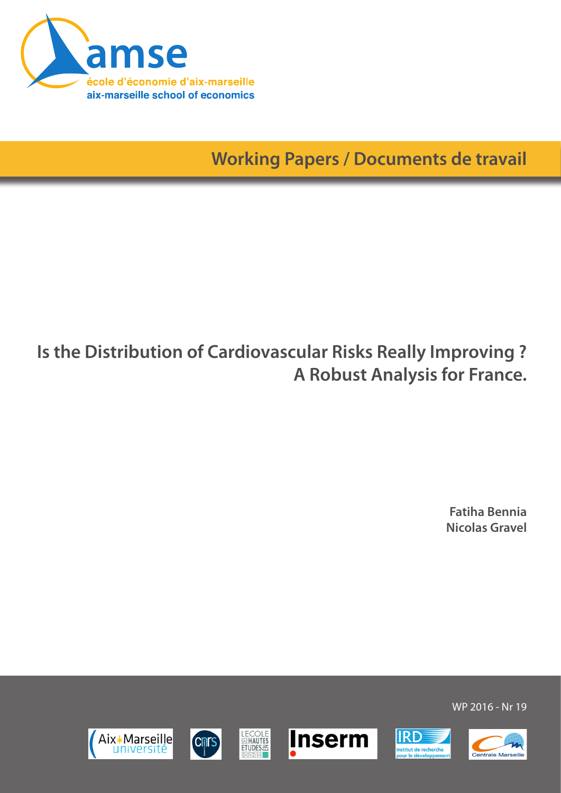

**Working Papers / Documents de travail**

# **Is the Distribution of Cardiovascular Risks Really Improving ? A Robust Analysis for France.**

**Fatiha Bennia Nicolas Gravel**

WP 2016 - Nr 19

**IRD** 

nstitut de recherche<br>vour le développem







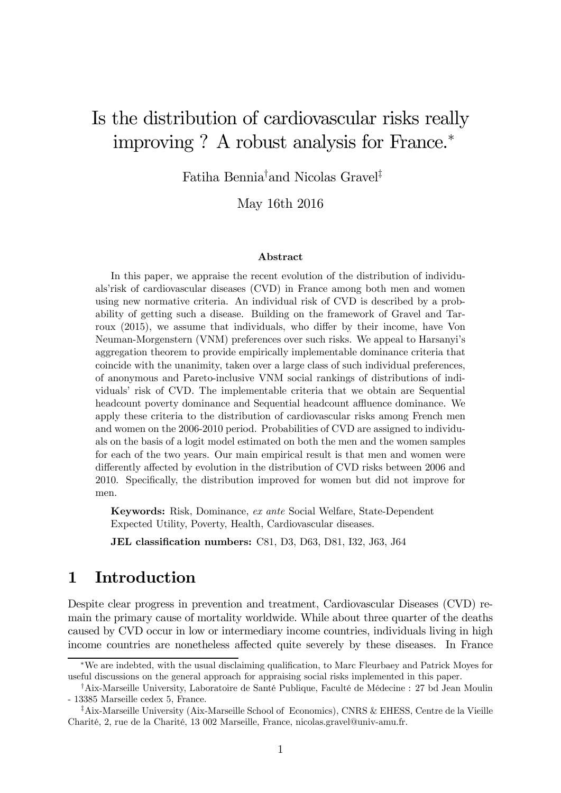## Is the distribution of cardiovascular risks really improving ? A robust analysis for France.<sup>∗</sup>

Fatiha Bennia† and Nicolas Gravel‡

May 16th 2016

#### Abstract

In this paper, we appraise the recent evolution of the distribution of individuals'risk of cardiovascular diseases (CVD) in France among both men and women using new normative criteria. An individual risk of CVD is described by a probability of getting such a disease. Building on the framework of Gravel and Tarroux (2015), we assume that individuals, who differ by their income, have Von Neuman-Morgenstern (VNM) preferences over such risks. We appeal to Harsanyi's aggregation theorem to provide empirically implementable dominance criteria that coincide with the unanimity, taken over a large class of such individual preferences, of anonymous and Pareto-inclusive VNM social rankings of distributions of individuals' risk of CVD. The implementable criteria that we obtain are Sequential headcount poverty dominance and Sequential headcount affluence dominance. We apply these criteria to the distribution of cardiovascular risks among French men and women on the 2006-2010 period. Probabilities of CVD are assigned to individuals on the basis of a logit model estimated on both the men and the women samples for each of the two years. Our main empirical result is that men and women were differently affected by evolution in the distribution of CVD risks between 2006 and 2010. Specifically, the distribution improved for women but did not improve for men.

Keywords: Risk, Dominance, ex ante Social Welfare, State-Dependent Expected Utility, Poverty, Health, Cardiovascular diseases.

JEL classification numbers: C81, D3, D63, D81, I32, J63, J64

## 1 Introduction

Despite clear progress in prevention and treatment, Cardiovascular Diseases (CVD) remain the primary cause of mortality worldwide. While about three quarter of the deaths caused by CVD occur in low or intermediary income countries, individuals living in high income countries are nonetheless affected quite severely by these diseases. In France

<sup>∗</sup>We are indebted, with the usual disclaiming qualification, to Marc Fleurbaey and Patrick Moyes for useful discussions on the general approach for appraising social risks implemented in this paper.

<sup>†</sup>Aix-Marseille University, Laboratoire de Santé Publique, Faculté de Médecine : 27 bd Jean Moulin - 13385 Marseille cedex 5, France.

<sup>‡</sup>Aix-Marseille University (Aix-Marseille School of Economics), CNRS & EHESS, Centre de la Vieille Charité, 2, rue de la Charité, 13 002 Marseille, France, nicolas.gravel@univ-amu.fr.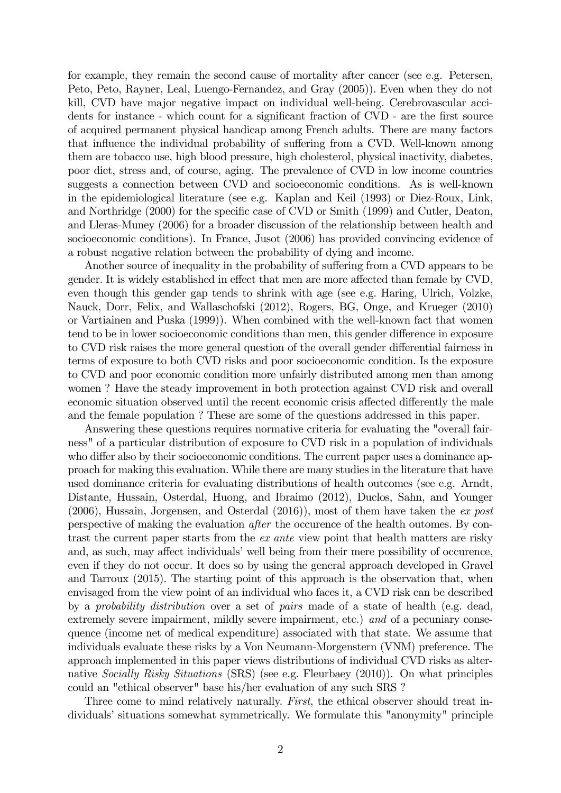for example, they remain the second cause of mortality after cancer (see e.g. Petersen, Peto, Peto, Rayner, Leal, Luengo-Fernandez, and Gray (2005)). Even when they do not kill, CVD have major negative impact on individual well-being. Cerebrovascular accidents for instance - which count for a significant fraction of CVD - are the first source of acquired permanent physical handicap among French adults. There are many factors that influence the individual probability of suffering from a CVD. Well-known among them are tobacco use, high blood pressure, high cholesterol, physical inactivity, diabetes, poor diet, stress and, of course, aging. The prevalence of CVD in low income countries suggests a connection between CVD and socioeconomic conditions. As is well-known in the epidemiological literature (see e.g. Kaplan and Keil (1993) or Diez-Roux, Link, and Northridge (2000) for the specific case of CVD or Smith (1999) and Cutler, Deaton, and Lleras-Muney (2006) for a broader discussion of the relationship between health and socioeconomic conditions). In France, Jusot (2006) has provided convincing evidence of a robust negative relation between the probability of dying and income.

Another source of inequality in the probability of suffering from a CVD appears to be gender. It is widely established in effect that men are more affected than female by CVD, even though this gender gap tends to shrink with age (see e.g. Haring, Ulrich, Volzke, Nauck, Dorr, Felix, and Wallaschofski (2012), Rogers, BG, Onge, and Krueger (2010) or Vartiainen and Puska (1999)). When combined with the well-known fact that women tend to be in lower socioeconomic conditions than men, this gender difference in exposure to CVD risk raises the more general question of the overall gender differential fairness in terms of exposure to both CVD risks and poor socioeconomic condition. Is the exposure to CVD and poor economic condition more unfairly distributed among men than among women ? Have the steady improvement in both protection against CVD risk and overall economic situation observed until the recent economic crisis affected differently the male and the female population ? These are some of the questions addressed in this paper.

Answering these questions requires normative criteria for evaluating the "overall fairness" of a particular distribution of exposure to CVD risk in a population of individuals who differ also by their socioeconomic conditions. The current paper uses a dominance approach for making this evaluation. While there are many studies in the literature that have used dominance criteria for evaluating distributions of health outcomes (see e.g. Arndt, Distante, Hussain, Osterdal, Huong, and Ibraimo (2012), Duclos, Sahn, and Younger (2006), Hussain, Jorgensen, and Osterdal (2016)), most of them have taken the ex post perspective of making the evaluation after the occurence of the health outomes. By contrast the current paper starts from the ex ante view point that health matters are risky and, as such, may affect individuals' well being from their mere possibility of occurence, even if they do not occur. It does so by using the general approach developed in Gravel and Tarroux (2015). The starting point of this approach is the observation that, when envisaged from the view point of an individual who faces it, a CVD risk can be described by a probability distribution over a set of pairs made of a state of health (e.g. dead, extremely severe impairment, mildly severe impairment, etc.) and of a pecuniary consequence (income net of medical expenditure) associated with that state. We assume that individuals evaluate these risks by a Von Neumann-Morgenstern (VNM) preference. The approach implemented in this paper views distributions of individual CVD risks as alternative Socially Risky Situations (SRS) (see e.g. Fleurbaey (2010)). On what principles could an "ethical observer" base his/her evaluation of any such SRS ?

Three come to mind relatively naturally. First, the ethical observer should treat individuals' situations somewhat symmetrically. We formulate this "anonymity" principle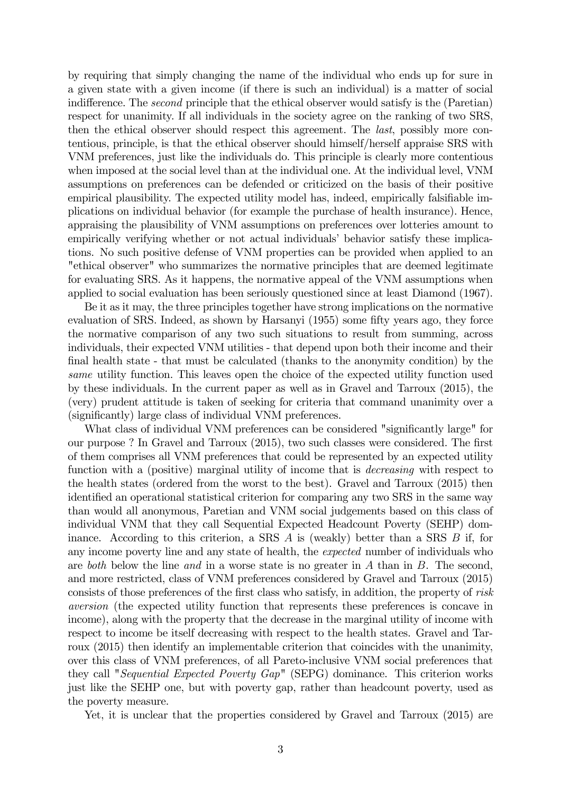by requiring that simply changing the name of the individual who ends up for sure in a given state with a given income (if there is such an individual) is a matter of social indifference. The second principle that the ethical observer would satisfy is the (Paretian) respect for unanimity. If all individuals in the society agree on the ranking of two SRS, then the ethical observer should respect this agreement. The last, possibly more contentious, principle, is that the ethical observer should himself/herself appraise SRS with VNM preferences, just like the individuals do. This principle is clearly more contentious when imposed at the social level than at the individual one. At the individual level, VNM assumptions on preferences can be defended or criticized on the basis of their positive empirical plausibility. The expected utility model has, indeed, empirically falsifiable implications on individual behavior (for example the purchase of health insurance). Hence, appraising the plausibility of VNM assumptions on preferences over lotteries amount to empirically verifying whether or not actual individuals' behavior satisfy these implications. No such positive defense of VNM properties can be provided when applied to an "ethical observer" who summarizes the normative principles that are deemed legitimate for evaluating SRS. As it happens, the normative appeal of the VNM assumptions when applied to social evaluation has been seriously questioned since at least Diamond (1967).

Be it as it may, the three principles together have strong implications on the normative evaluation of SRS. Indeed, as shown by Harsanyi (1955) some fifty years ago, they force the normative comparison of any two such situations to result from summing, across individuals, their expected VNM utilities - that depend upon both their income and their final health state - that must be calculated (thanks to the anonymity condition) by the same utility function. This leaves open the choice of the expected utility function used by these individuals. In the current paper as well as in Gravel and Tarroux (2015), the (very) prudent attitude is taken of seeking for criteria that command unanimity over a (significantly) large class of individual VNM preferences.

What class of individual VNM preferences can be considered "significantly large" for our purpose ? In Gravel and Tarroux (2015), two such classes were considered. The first of them comprises all VNM preferences that could be represented by an expected utility function with a (positive) marginal utility of income that is *decreasing* with respect to the health states (ordered from the worst to the best). Gravel and Tarroux (2015) then identified an operational statistical criterion for comparing any two SRS in the same way than would all anonymous, Paretian and VNM social judgements based on this class of individual VNM that they call Sequential Expected Headcount Poverty (SEHP) dominance. According to this criterion, a SRS  $\vec{A}$  is (weakly) better than a SRS  $\vec{B}$  if, for any income poverty line and any state of health, the expected number of individuals who are both below the line and in a worse state is no greater in  $A$  than in  $B$ . The second, and more restricted, class of VNM preferences considered by Gravel and Tarroux (2015) consists of those preferences of the first class who satisfy, in addition, the property of risk aversion (the expected utility function that represents these preferences is concave in income), along with the property that the decrease in the marginal utility of income with respect to income be itself decreasing with respect to the health states. Gravel and Tarroux (2015) then identify an implementable criterion that coincides with the unanimity, over this class of VNM preferences, of all Pareto-inclusive VNM social preferences that they call "Sequential Expected Poverty Gap" (SEPG) dominance. This criterion works just like the SEHP one, but with poverty gap, rather than headcount poverty, used as the poverty measure.

Yet, it is unclear that the properties considered by Gravel and Tarroux (2015) are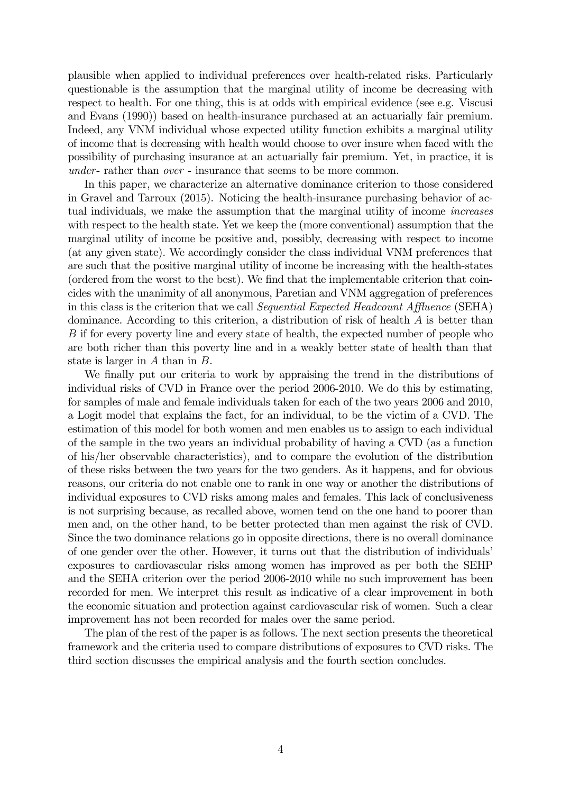plausible when applied to individual preferences over health-related risks. Particularly questionable is the assumption that the marginal utility of income be decreasing with respect to health. For one thing, this is at odds with empirical evidence (see e.g. Viscusi and Evans (1990)) based on health-insurance purchased at an actuarially fair premium. Indeed, any VNM individual whose expected utility function exhibits a marginal utility of income that is decreasing with health would choose to over insure when faced with the possibility of purchasing insurance at an actuarially fair premium. Yet, in practice, it is under- rather than over - insurance that seems to be more common.

In this paper, we characterize an alternative dominance criterion to those considered in Gravel and Tarroux (2015). Noticing the health-insurance purchasing behavior of actual individuals, we make the assumption that the marginal utility of income increases with respect to the health state. Yet we keep the (more conventional) assumption that the marginal utility of income be positive and, possibly, decreasing with respect to income (at any given state). We accordingly consider the class individual VNM preferences that are such that the positive marginal utility of income be increasing with the health-states (ordered from the worst to the best). We find that the implementable criterion that coincides with the unanimity of all anonymous, Paretian and VNM aggregation of preferences in this class is the criterion that we call Sequential Expected Headcount Affluence (SEHA) dominance. According to this criterion, a distribution of risk of health  $A$  is better than  $B$  if for every poverty line and every state of health, the expected number of people who are both richer than this poverty line and in a weakly better state of health than that state is larger in  $A$  than in  $B$ .

We finally put our criteria to work by appraising the trend in the distributions of individual risks of CVD in France over the period 2006-2010. We do this by estimating, for samples of male and female individuals taken for each of the two years 2006 and 2010, a Logit model that explains the fact, for an individual, to be the victim of a CVD. The estimation of this model for both women and men enables us to assign to each individual of the sample in the two years an individual probability of having a CVD (as a function of his/her observable characteristics), and to compare the evolution of the distribution of these risks between the two years for the two genders. As it happens, and for obvious reasons, our criteria do not enable one to rank in one way or another the distributions of individual exposures to CVD risks among males and females. This lack of conclusiveness is not surprising because, as recalled above, women tend on the one hand to poorer than men and, on the other hand, to be better protected than men against the risk of CVD. Since the two dominance relations go in opposite directions, there is no overall dominance of one gender over the other. However, it turns out that the distribution of individuals' exposures to cardiovascular risks among women has improved as per both the SEHP and the SEHA criterion over the period 2006-2010 while no such improvement has been recorded for men. We interpret this result as indicative of a clear improvement in both the economic situation and protection against cardiovascular risk of women. Such a clear improvement has not been recorded for males over the same period.

The plan of the rest of the paper is as follows. The next section presents the theoretical framework and the criteria used to compare distributions of exposures to CVD risks. The third section discusses the empirical analysis and the fourth section concludes.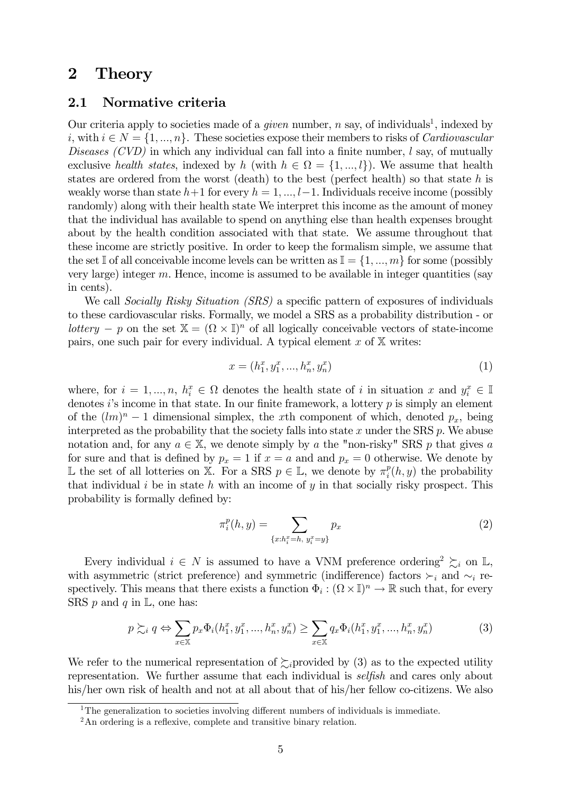## 2 Theory

#### 2.1 Normative criteria

Our criteria apply to societies made of a *given* number,  $n$  say, of individuals<sup>1</sup>, indexed by i, with  $i \in N = \{1, ..., n\}$ . These societies expose their members to risks of *Cardiovascular* Diseases  $(CVD)$  in which any individual can fall into a finite number,  $l$  say, of mutually exclusive health states, indexed by h (with  $h \in \Omega = \{1, ..., l\}$ ). We assume that health states are ordered from the worst (death) to the best (perfect health) so that state  $h$  is weakly worse than state  $h+1$  for every  $h = 1, ..., l-1$ . Individuals receive income (possibly randomly) along with their health state We interpret this income as the amount of money that the individual has available to spend on anything else than health expenses brought about by the health condition associated with that state. We assume throughout that these income are strictly positive. In order to keep the formalism simple, we assume that the set I of all conceivable income levels can be written as  $\mathbb{I} = \{1, ..., m\}$  for some (possibly very large) integer  $m$ . Hence, income is assumed to be available in integer quantities (say in cents).

We call *Socially Risky Situation (SRS)* a specific pattern of exposures of individuals to these cardiovascular risks. Formally, we model a SRS as a probability distribution - or lottery – p on the set  $X = (\Omega \times \mathbb{I})^n$  of all logically conceivable vectors of state-income pairs, one such pair for every individual. A typical element  $x$  of  $X$  writes:

$$
x = (h_1^x, y_1^x, \dots, h_n^x, y_n^x) \tag{1}
$$

where, for  $i = 1, ..., n, h_i^x \in \Omega$  denotes the health state of *i* in situation x and  $y_i^x \in \mathbb{I}$ denotes i's income in that state. In our finite framework, a lottery  $p$  is simply an element of the  $(\ell m)^n - 1$  dimensional simplex, the x<sup>th</sup> component of which, denoted  $p_x$ , being interpreted as the probability that the society falls into state  $x$  under the SRS  $p$ . We abuse notation and, for any  $a \in \mathbb{X}$ , we denote simply by a the "non-risky" SRS p that gives a for sure and that is defined by  $p_x = 1$  if  $x = a$  and and  $p_x = 0$  otherwise. We denote by L the set of all lotteries on X. For a SRS  $p ∈ \mathbb{L}$ , we denote by  $\pi_i^p(h, y)$  the probability that individual  $i$  be in state  $h$  with an income of  $y$  in that socially risky prospect. This probability is formally defined by:

$$
\pi_i^p(h, y) = \sum_{\{x: h_i^x = h, y_i^x = y\}} p_x \tag{2}
$$

Every individual  $i \in N$  is assumed to have a VNM preference ordering<sup>2</sup>  $\succsim_i$  on L, with asymmetric (strict preference) and symmetric (indifference) factors  $\succ_i$  and  $\sim_i$  respectively. This means that there exists a function  $\Phi_i : (\Omega \times \mathbb{I})^n \to \mathbb{R}$  such that, for every SRS  $p$  and  $q$  in  $\mathbb{L}$ , one has:

$$
p \succsim_{i} q \Leftrightarrow \sum_{x \in \mathbb{X}} p_x \Phi_i(h_1^x, y_1^x, ..., h_n^x, y_n^x) \ge \sum_{x \in \mathbb{X}} q_x \Phi_i(h_1^x, y_1^x, ..., h_n^x, y_n^x)
$$
(3)

We refer to the numerical representation of  $\sum_i$  provided by (3) as to the expected utility representation. We further assume that each individual is selfish and cares only about his/her own risk of health and not at all about that of his/her fellow co-citizens. We also

<sup>&</sup>lt;sup>1</sup>The generalization to societies involving different numbers of individuals is immediate.

 $2<sup>2</sup>$ An ordering is a reflexive, complete and transitive binary relation.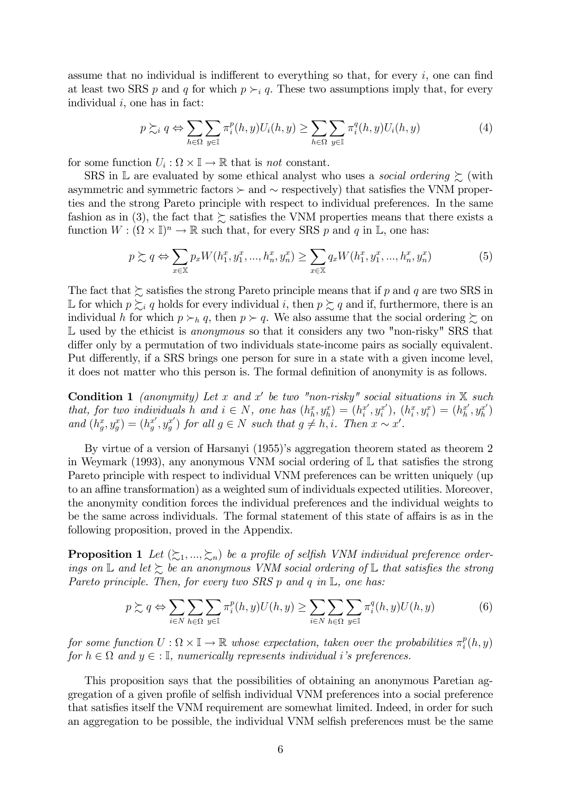assume that no individual is indifferent to everything so that, for every  $i$ , one can find at least two SRS p and q for which  $p \succ_i q$ . These two assumptions imply that, for every individual  $i$ , one has in fact:

$$
p \succsim_i q \Leftrightarrow \sum_{h \in \Omega} \sum_{y \in \mathbb{I}} \pi_i^p(h, y) U_i(h, y) \ge \sum_{h \in \Omega} \sum_{y \in \mathbb{I}} \pi_i^q(h, y) U_i(h, y) \tag{4}
$$

for some function  $U_i : \Omega \times \mathbb{I} \to \mathbb{R}$  that is *not* constant.

SRS in  $\mathbb L$  are evaluated by some ethical analyst who uses a *social ordering*  $\succsim$  (with asymmetric and symmetric factors Â and ∼ respectively) that satisfies the VNM properties and the strong Pareto principle with respect to individual preferences. In the same fashion as in (3), the fact that  $\succeq$  satisfies the VNM properties means that there exists a function  $W : (\Omega \times \mathbb{I})^n \to \mathbb{R}$  such that, for every SRS p and q in L, one has:

$$
p \succsim q \Leftrightarrow \sum_{x \in \mathbb{X}} p_x W(h_1^x, y_1^x, ..., h_n^x, y_n^x) \ge \sum_{x \in \mathbb{X}} q_x W(h_1^x, y_1^x, ..., h_n^x, y_n^x)
$$
(5)

The fact that  $\succsim$  satisfies the strong Pareto principle means that if p and q are two SRS in L for which  $p \succeq_i q$  holds for every individual i, then  $p \succeq q$  and if, furthermore, there is an individual h for which  $p \succ_h q$ , then  $p \succ q$ . We also assume that the social ordering  $\succsim$  on L used by the ethicist is *anonymous* so that it considers any two "non-risky" SRS that differ only by a permutation of two individuals state-income pairs as socially equivalent. Put differently, if a SRS brings one person for sure in a state with a given income level, it does not matter who this person is. The formal definition of anonymity is as follows.

**Condition 1** (anonymity) Let x and x' be two "non-risky" social situations in X such that, for two individuals h and  $i \in N$ , one has  $(h_h^x, y_h^x) = (h_i^{x'}, y_i^{x'})$ ,  $(h_i^x, y_i^x) = (h_h^{x'}, y_h^{x'})$ and  $(h_g^x, y_g^x) = (h_g^{x'}, y_g^{x'})$  for all  $g \in N$  such that  $g \neq h, i$ . Then  $x \sim x'$ .

By virtue of a version of Harsanyi (1955)'s aggregation theorem stated as theorem 2 in Weymark (1993), any anonymous VNM social ordering of  $\mathbb L$  that satisfies the strong Pareto principle with respect to individual VNM preferences can be written uniquely (up to an affine transformation) as a weighted sum of individuals expected utilities. Moreover, the anonymity condition forces the individual preferences and the individual weights to be the same across individuals. The formal statement of this state of affairs is as in the following proposition, proved in the Appendix.

**Proposition 1** Let  $(\succsim_1, ..., \succsim_n)$  be a profile of selfish VNM individual preference orderings on  $\mathbb L$  and let  $\succeq$  be an anonymous VNM social ordering of  $\mathbb L$  that satisfies the strong Pareto principle. Then, for every two SRS  $p$  and  $q$  in  $\mathbb{L}$ , one has:

$$
p \succsim q \Leftrightarrow \sum_{i \in N} \sum_{h \in \Omega} \sum_{y \in \mathbb{I}} \pi_i^p(h, y) U(h, y) \ge \sum_{i \in N} \sum_{h \in \Omega} \sum_{y \in \mathbb{I}} \pi_i^q(h, y) U(h, y) \tag{6}
$$

for some function  $U : \Omega \times \mathbb{I} \to \mathbb{R}$  whose expectation, taken over the probabilities  $\pi_i^p(h, y)$ for  $h \in \Omega$  and  $y \in \Omega$ , numerically represents individual i's preferences.

This proposition says that the possibilities of obtaining an anonymous Paretian aggregation of a given profile of selfish individual VNM preferences into a social preference that satisfies itself the VNM requirement are somewhat limited. Indeed, in order for such an aggregation to be possible, the individual VNM selfish preferences must be the same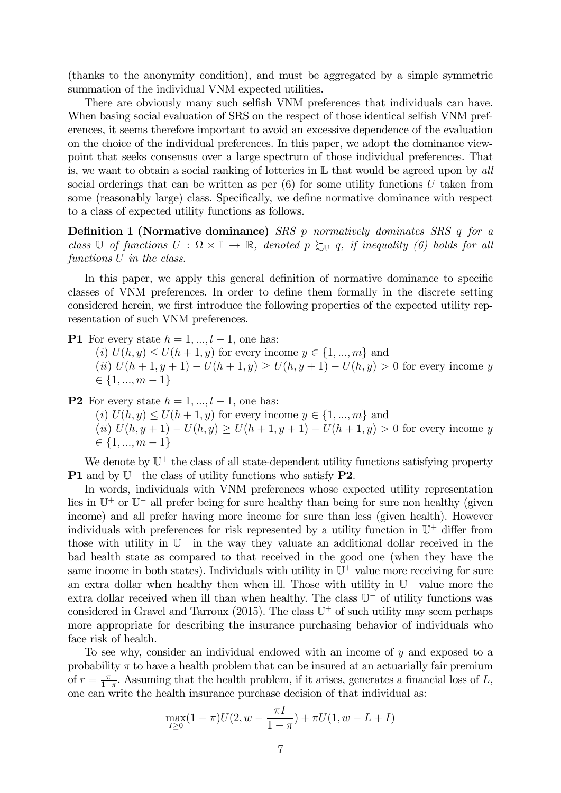(thanks to the anonymity condition), and must be aggregated by a simple symmetric summation of the individual VNM expected utilities.

There are obviously many such selfish VNM preferences that individuals can have. When basing social evaluation of SRS on the respect of those identical selfish VNM preferences, it seems therefore important to avoid an excessive dependence of the evaluation on the choice of the individual preferences. In this paper, we adopt the dominance viewpoint that seeks consensus over a large spectrum of those individual preferences. That is, we want to obtain a social ranking of lotteries in  $\mathbb L$  that would be agreed upon by all social orderings that can be written as per  $(6)$  for some utility functions U taken from some (reasonably large) class. Specifically, we define normative dominance with respect to a class of expected utility functions as follows.

Definition 1 (Normative dominance) SRS  $p$  normatively dominates SRS  $q$  for a class U of functions  $U : \Omega \times \mathbb{I} \to \mathbb{R}$ , denoted  $p \succsim_{\mathbb{U}} q$ , if inequality (6) holds for all functions  $U$  in the class.

In this paper, we apply this general definition of normative dominance to specific classes of VNM preferences. In order to define them formally in the discrete setting considered herein, we first introduce the following properties of the expected utility representation of such VNM preferences.

**P1** For every state  $h = 1, ..., l - 1$ , one has:

(*i*)  $U(h, y) \le U(h + 1, y)$  for every income  $y \in \{1, ..., m\}$  and (ii)  $U(h + 1, y + 1) - U(h + 1, y) \ge U(h, y + 1) - U(h, y) > 0$  for every income y  $\in \{1, ..., m-1\}$ 

**P2** For every state  $h = 1, ..., l - 1$ , one has:

(*i*)  $U(h, y) \le U(h + 1, y)$  for every income  $y \in \{1, ..., m\}$  and

(ii)  $U(h, y + 1) - U(h, y) \ge U(h + 1, y + 1) - U(h + 1, y) > 0$  for every income y  $\in \{1, ..., m-1\}$ 

We denote by  $\mathbb{U}^+$  the class of all state-dependent utility functions satisfying property P1 and by  $\mathbb{U}^-$  the class of utility functions who satisfy P2.

In words, individuals with VNM preferences whose expected utility representation lies in U<sup>+</sup> or U<sup>−</sup> all prefer being for sure healthy than being for sure non healthy (given income) and all prefer having more income for sure than less (given health). However individuals with preferences for risk represented by a utility function in  $\mathbb{U}^+$  differ from those with utility in U<sup>−</sup> in the way they valuate an additional dollar received in the bad health state as compared to that received in the good one (when they have the same income in both states). Individuals with utility in  $\mathbb{U}^+$  value more receiving for sure an extra dollar when healthy then when ill. Those with utility in U<sup>−</sup> value more the extra dollar received when ill than when healthy. The class U<sup>−</sup> of utility functions was considered in Gravel and Tarroux  $(2015)$ . The class  $\mathbb{U}^+$  of such utility may seem perhaps more appropriate for describing the insurance purchasing behavior of individuals who face risk of health.

To see why, consider an individual endowed with an income of  $y$  and exposed to a probability  $\pi$  to have a health problem that can be insured at an actuarially fair premium of  $r = \frac{\pi}{1-\pi}$ . Assuming that the health problem, if it arises, generates a financial loss of L, one can write the health insurance purchase decision of that individual as:

$$
\max_{I \ge 0} (1 - \pi)U(2, w - \frac{\pi I}{1 - \pi}) + \pi U(1, w - L + I)
$$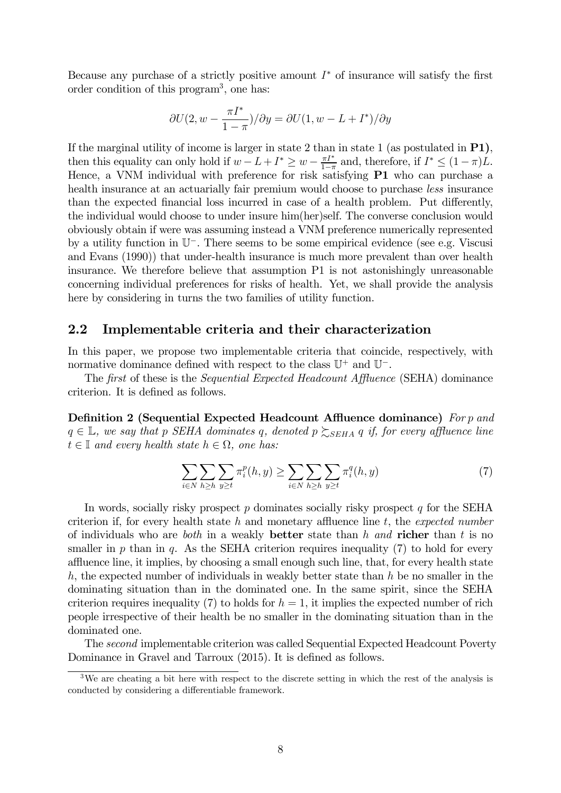Because any purchase of a strictly positive amount  $I^*$  of insurance will satisfy the first order condition of this program3, one has:

$$
\partial U(2, w - \frac{\pi I^*}{1 - \pi}) / \partial y = \partial U(1, w - L + I^*) / \partial y
$$

If the marginal utility of income is larger in state 2 than in state 1 (as postulated in P1), then this equality can only hold if  $w - L + I^* \geq w - \frac{\pi I^*}{1 - \pi}$  and, therefore, if  $I^* \leq (1 - \pi)L$ . Hence, a VNM individual with preference for risk satisfying **P1** who can purchase a health insurance at an actuarially fair premium would choose to purchase *less* insurance than the expected financial loss incurred in case of a health problem. Put differently, the individual would choose to under insure him(her)self. The converse conclusion would obviously obtain if were was assuming instead a VNM preference numerically represented by a utility function in U<sup>−</sup>. There seems to be some empirical evidence (see e.g. Viscusi and Evans (1990)) that under-health insurance is much more prevalent than over health insurance. We therefore believe that assumption P1 is not astonishingly unreasonable concerning individual preferences for risks of health. Yet, we shall provide the analysis here by considering in turns the two families of utility function.

#### 2.2 Implementable criteria and their characterization

In this paper, we propose two implementable criteria that coincide, respectively, with normative dominance defined with respect to the class  $\mathbb{U}^+$  and  $\mathbb{U}^-$ .

The first of these is the Sequential Expected Headcount Affluence (SEHA) dominance criterion. It is defined as follows.

Definition 2 (Sequential Expected Headcount Affluence dominance) For  $p$  and  $q \in \mathbb{L}$ , we say that p SEHA dominates q, denoted  $p \gtrsim_{SEHA} q$  if, for every affluence line  $t \in \mathbb{I}$  and every health state  $h \in \Omega$ , one has:

$$
\sum_{i\in N}\sum_{h\geq h}\sum_{y\geq t}\pi_i^p(h,y)\geq \sum_{i\in N}\sum_{h\geq h}\sum_{y\geq t}\pi_i^q(h,y)
$$
\n
$$
(7)
$$

In words, socially risky prospect  $p$  dominates socially risky prospect  $q$  for the SEHA criterion if, for every health state  $h$  and monetary affluence line  $t$ , the expected number of individuals who are *both* in a weakly **better** state than h and **richer** than t is no smaller in  $p$  than in  $q$ . As the SEHA criterion requires inequality (7) to hold for every affluence line, it implies, by choosing a small enough such line, that, for every health state  $h$ , the expected number of individuals in weakly better state than  $h$  be no smaller in the dominating situation than in the dominated one. In the same spirit, since the SEHA criterion requires inequality (7) to holds for  $h = 1$ , it implies the expected number of rich people irrespective of their health be no smaller in the dominating situation than in the dominated one.

The second implementable criterion was called Sequential Expected Headcount Poverty Dominance in Gravel and Tarroux (2015). It is defined as follows.

<sup>&</sup>lt;sup>3</sup>We are cheating a bit here with respect to the discrete setting in which the rest of the analysis is conducted by considering a differentiable framework.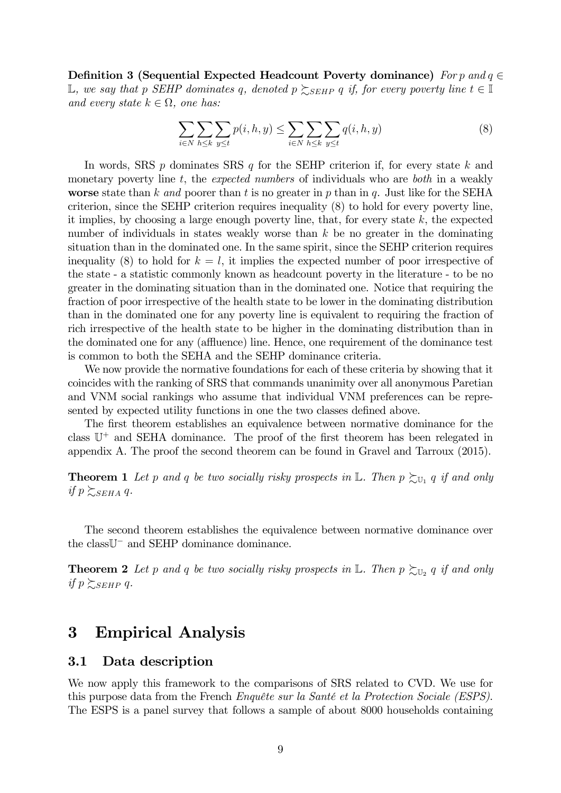Definition 3 (Sequential Expected Headcount Poverty dominance) For p and  $q \in$  $\mathbb{L}$ , we say that p SEHP dominates q, denoted  $p \gtrsim_{SEHP} q$  if, for every poverty line  $t \in \mathbb{I}$ and every state  $k \in \Omega$ , one has:

$$
\sum_{i \in N} \sum_{h \le k} \sum_{y \le t} p(i, h, y) \le \sum_{i \in N} \sum_{h \le k} \sum_{y \le t} q(i, h, y) \tag{8}
$$

In words, SRS  $p$  dominates SRS  $q$  for the SEHP criterion if, for every state  $k$  and monetary poverty line  $t$ , the *expected numbers* of individuals who are *both* in a weakly worse state than k and poorer than t is no greater in p than in q. Just like for the SEHA criterion, since the SEHP criterion requires inequality (8) to hold for every poverty line, it implies, by choosing a large enough poverty line, that, for every state  $k$ , the expected number of individuals in states weakly worse than  $k$  be no greater in the dominating situation than in the dominated one. In the same spirit, since the SEHP criterion requires inequality (8) to hold for  $k = l$ , it implies the expected number of poor irrespective of the state - a statistic commonly known as headcount poverty in the literature - to be no greater in the dominating situation than in the dominated one. Notice that requiring the fraction of poor irrespective of the health state to be lower in the dominating distribution than in the dominated one for any poverty line is equivalent to requiring the fraction of rich irrespective of the health state to be higher in the dominating distribution than in the dominated one for any (affluence) line. Hence, one requirement of the dominance test is common to both the SEHA and the SEHP dominance criteria.

We now provide the normative foundations for each of these criteria by showing that it coincides with the ranking of SRS that commands unanimity over all anonymous Paretian and VNM social rankings who assume that individual VNM preferences can be represented by expected utility functions in one the two classes defined above.

The first theorem establishes an equivalence between normative dominance for the class  $\mathbb{U}^+$  and SEHA dominance. The proof of the first theorem has been relegated in appendix A. The proof the second theorem can be found in Gravel and Tarroux (2015).

**Theorem 1** Let p and q be two socially risky prospects in L. Then  $p \succsim_{U_1} q$  if and only if  $p \sum_{SEHA} q$ .

The second theorem establishes the equivalence between normative dominance over the classU<sup>−</sup> and SEHP dominance dominance.

**Theorem 2** Let p and q be two socially risky prospects in L. Then  $p \succsim_{\mathbb{U}_2} q$  if and only if  $p \sum_{SEHP} q$ .

## 3 Empirical Analysis

#### 3.1 Data description

We now apply this framework to the comparisons of SRS related to CVD. We use for this purpose data from the French Enquête sur la Santé et la Protection Sociale (ESPS). The ESPS is a panel survey that follows a sample of about 8000 households containing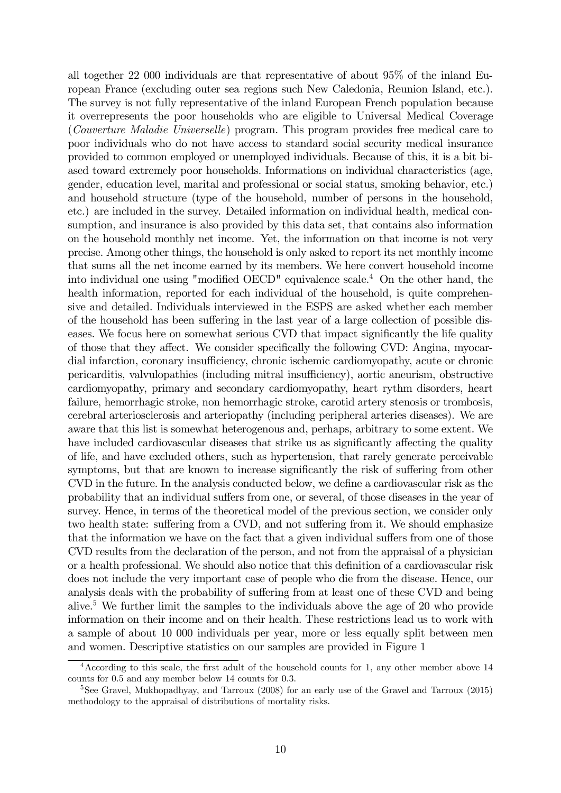all together 22 000 individuals are that representative of about 95% of the inland European France (excluding outer sea regions such New Caledonia, Reunion Island, etc.). The survey is not fully representative of the inland European French population because it overrepresents the poor households who are eligible to Universal Medical Coverage (Couverture Maladie Universelle) program. This program provides free medical care to poor individuals who do not have access to standard social security medical insurance provided to common employed or unemployed individuals. Because of this, it is a bit biased toward extremely poor households. Informations on individual characteristics (age, gender, education level, marital and professional or social status, smoking behavior, etc.) and household structure (type of the household, number of persons in the household, etc.) are included in the survey. Detailed information on individual health, medical consumption, and insurance is also provided by this data set, that contains also information on the household monthly net income. Yet, the information on that income is not very precise. Among other things, the household is only asked to report its net monthly income that sums all the net income earned by its members. We here convert household income into individual one using "modified OECD" equivalence scale.4 On the other hand, the health information, reported for each individual of the household, is quite comprehensive and detailed. Individuals interviewed in the ESPS are asked whether each member of the household has been suffering in the last year of a large collection of possible diseases. We focus here on somewhat serious CVD that impact significantly the life quality of those that they affect. We consider specifically the following CVD: Angina, myocardial infarction, coronary insufficiency, chronic ischemic cardiomyopathy, acute or chronic pericarditis, valvulopathies (including mitral insufficiency), aortic aneurism, obstructive cardiomyopathy, primary and secondary cardiomyopathy, heart rythm disorders, heart failure, hemorrhagic stroke, non hemorrhagic stroke, carotid artery stenosis or trombosis, cerebral arteriosclerosis and arteriopathy (including peripheral arteries diseases). We are aware that this list is somewhat heterogenous and, perhaps, arbitrary to some extent. We have included cardiovascular diseases that strike us as significantly affecting the quality of life, and have excluded others, such as hypertension, that rarely generate perceivable symptoms, but that are known to increase significantly the risk of suffering from other CVD in the future. In the analysis conducted below, we define a cardiovascular risk as the probability that an individual suffers from one, or several, of those diseases in the year of survey. Hence, in terms of the theoretical model of the previous section, we consider only two health state: suffering from a CVD, and not suffering from it. We should emphasize that the information we have on the fact that a given individual suffers from one of those CVD results from the declaration of the person, and not from the appraisal of a physician or a health professional. We should also notice that this definition of a cardiovascular risk does not include the very important case of people who die from the disease. Hence, our analysis deals with the probability of suffering from at least one of these CVD and being alive.5 We further limit the samples to the individuals above the age of 20 who provide information on their income and on their health. These restrictions lead us to work with a sample of about 10 000 individuals per year, more or less equally split between men and women. Descriptive statistics on our samples are provided in Figure 1

<sup>&</sup>lt;sup>4</sup> According to this scale, the first adult of the household counts for 1, any other member above 14 counts for 0.5 and any member below 14 counts for 0.3.

<sup>&</sup>lt;sup>5</sup>See Gravel, Mukhopadhyay, and Tarroux (2008) for an early use of the Gravel and Tarroux (2015) methodology to the appraisal of distributions of mortality risks.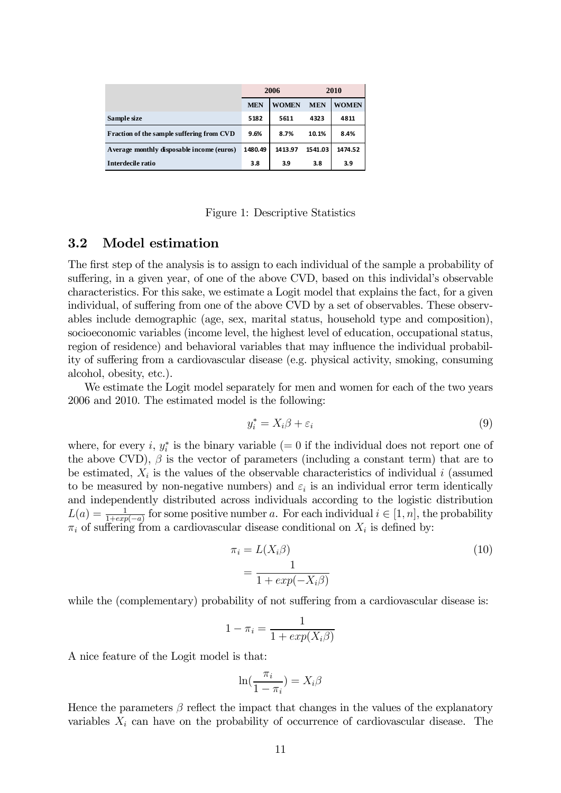|                                            | 2006       |              | 2010       |              |
|--------------------------------------------|------------|--------------|------------|--------------|
|                                            | <b>MEN</b> | <b>WOMEN</b> | <b>MEN</b> | <b>WOMEN</b> |
| Sample size                                | 5182       | 5611         | 4323       | 4811         |
| Fraction of the sample suffering from CVD  | 9.6%       | 8.7%         | 10.1%      | 8.4%         |
| A verage monthly disposable income (euros) | 1480.49    | 1413.97      | 1541.03    | 1474.52      |
| Interdecile ratio                          | 3.8        | 3.9          | 3.8        | 3.9          |

Figure 1: Descriptive Statistics

#### 3.2 Model estimation

The first step of the analysis is to assign to each individual of the sample a probability of suffering, in a given year, of one of the above CVD, based on this individal's observable characteristics. For this sake, we estimate a Logit model that explains the fact, for a given individual, of suffering from one of the above CVD by a set of observables. These observables include demographic (age, sex, marital status, household type and composition), socioeconomic variables (income level, the highest level of education, occupational status, region of residence) and behavioral variables that may influence the individual probability of suffering from a cardiovascular disease (e.g. physical activity, smoking, consuming alcohol, obesity, etc.).

We estimate the Logit model separately for men and women for each of the two years 2006 and 2010. The estimated model is the following:

$$
y_i^* = X_i \beta + \varepsilon_i \tag{9}
$$

where, for every *i*,  $y_i^*$  is the binary variable (= 0 if the individual does not report one of the above CVD),  $\beta$  is the vector of parameters (including a constant term) that are to be estimated,  $X_i$  is the values of the observable characteristics of individual i (assumed to be measured by non-negative numbers) and  $\varepsilon_i$  is an individual error term identically and independently distributed across individuals according to the logistic distribution  $L(a) = \frac{1}{1+exp(-a)}$  for some positive number a. For each individual  $i \in [1, n]$ , the probability  $\pi_i$  of suffering from a cardiovascular disease conditional on  $X_i$  is defined by:

$$
\pi_i = L(X_i \beta)
$$
  
= 
$$
\frac{1}{1 + exp(-X_i \beta)}
$$
 (10)

while the (complementary) probability of not suffering from a cardiovascular disease is:

$$
1 - \pi_i = \frac{1}{1 + exp(X_i \beta)}
$$

A nice feature of the Logit model is that:

$$
\ln(\frac{\pi_i}{1-\pi_i}) = X_i \beta
$$

Hence the parameters  $\beta$  reflect the impact that changes in the values of the explanatory variables  $X_i$  can have on the probability of occurrence of cardiovascular disease. The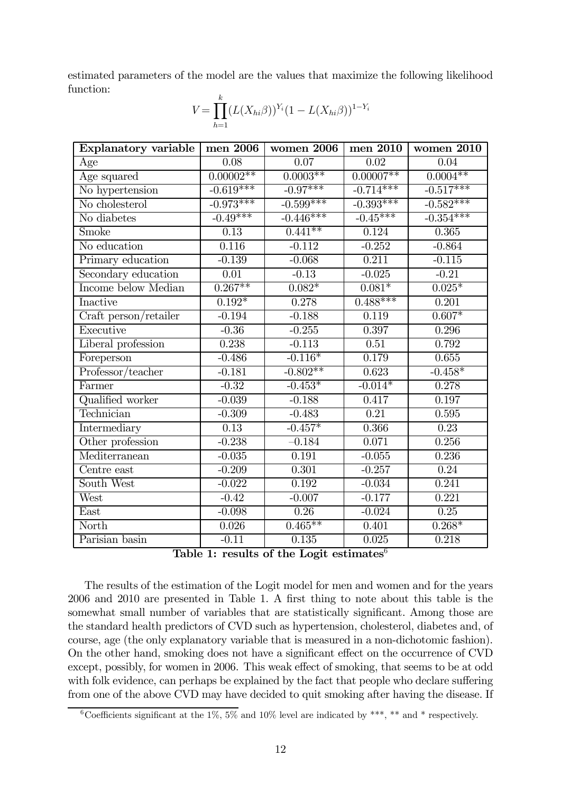estimated parameters of the model are the values that maximize the following likelihood function:

$$
V = \prod_{h=1}^{k} (L(X_{hi}\beta))^{Y_i} (1 - L(X_{hi}\beta))^{1 - Y_i}
$$

| <b>Explanatory variable</b>              | men 2006          | women 2006        | men 2010          | women 2010        |
|------------------------------------------|-------------------|-------------------|-------------------|-------------------|
| Age                                      | 0.08              | 0.07              | 0.02              | 0.04              |
| Age squared                              | $0.00002**$       | $0.0003**$        | $0.00007**$       | $0.0004**$        |
| No hypertension                          | $-0.619***$       | $-0.97***$        | $-0.714***$       | $-0.517***$       |
| No cholesterol                           | $-0.973***$       | $-0.599***$       | $-0.393***$       | $-0.582***$       |
| No diabetes                              | $-0.49***$        | $-0.446***$       | $-0.45***$        | $-0.354***$       |
| Smoke                                    | $\overline{0.13}$ | $0.441**$         | 0.124             | 0.365             |
| No education                             | 0.116             | $-0.112$          | $-0.252$          | $-0.864$          |
| Primary education                        | $-0.139$          | $-0.068$          | 0.211             | $-0.115$          |
| Secondary education                      | $\overline{0.01}$ | $-0.13$           | $-0.025$          | $-0.21$           |
| Income below Median                      | $0.267**$         | $0.082*$          | $0.081*$          | $0.025*$          |
| Inactive                                 | $0.192*$          | 0.278             | $0.488***$        | 0.201             |
| Craft person/retailer                    | $-0.194$          | $-0.188$          | 0.119             | $0.607*$          |
| Executive                                | $-0.36$           | $-0.255$          | 0.397             | 0.296             |
| Liberal profession                       | 0.238             | $-0.113$          | 0.51              | 0.792             |
| Foreperson                               | $-0.486$          | $-0.116*$         | 0.179             | 0.655             |
| $\overline{\mathit{Professor}}$ /teacher | $-0.181$          | $-0.802**$        | 0.623             | $-0.458*$         |
| Farmer                                   | $-0.32$           | $-0.453*$         | $-0.014*$         | 0.278             |
| Qualified worker                         | $-0.039$          | $-0.188$          | 0.417             | 0.197             |
| Technician                               | $-0.309$          | $-0.483$          | $\overline{0.21}$ | 0.595             |
| Intermediary                             | 0.13              | $-0.457*$         | 0.366             | $\overline{0.23}$ |
| Other profession                         | $-0.238$          | $-0.184$          | 0.071             | 0.256             |
| Mediterranean                            | $-0.035$          | 0.191             | $-0.055$          | 0.236             |
| Centre east                              | $-0.209$          | 0.301             | $-0.257$          | 0.24              |
| South West                               | $-0.022$          | 0.192             | $-0.034$          | 0.241             |
| West                                     | $-0.42$           | $-0.007$          | $-0.177$          | 0.221             |
| East                                     | $-0.098$          | $\overline{0.26}$ | $-0.024$          | 0.25              |
| $\overline{\text{North}}$                | 0.026             | $0.465***$        | 0.401             | $0.268*$          |
| Parisian basin                           | $-0.11$           | 0.135             | 0.025             | 0.218             |

Table 1: results of the Logit estimates $6$ 

The results of the estimation of the Logit model for men and women and for the years 2006 and 2010 are presented in Table 1. A first thing to note about this table is the somewhat small number of variables that are statistically significant. Among those are the standard health predictors of CVD such as hypertension, cholesterol, diabetes and, of course, age (the only explanatory variable that is measured in a non-dichotomic fashion). On the other hand, smoking does not have a significant effect on the occurrence of CVD except, possibly, for women in 2006. This weak effect of smoking, that seems to be at odd with folk evidence, can perhaps be explained by the fact that people who declare suffering from one of the above CVD may have decided to quit smoking after having the disease. If

<sup>&</sup>lt;sup>6</sup>Coefficients significant at the 1%, 5% and 10% level are indicated by \*\*\*, \*\* and \* respectively.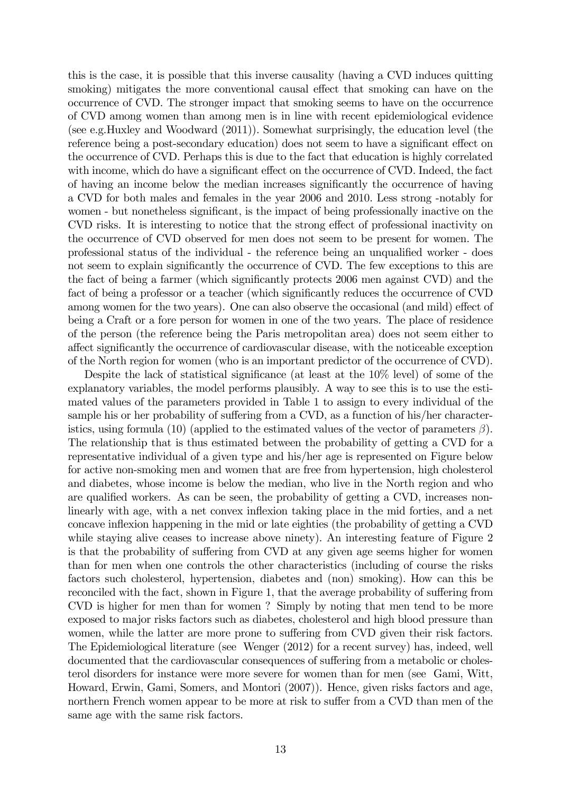this is the case, it is possible that this inverse causality (having a CVD induces quitting smoking) mitigates the more conventional causal effect that smoking can have on the occurrence of CVD. The stronger impact that smoking seems to have on the occurrence of CVD among women than among men is in line with recent epidemiological evidence (see e.g.Huxley and Woodward (2011)). Somewhat surprisingly, the education level (the reference being a post-secondary education) does not seem to have a significant effect on the occurrence of CVD. Perhaps this is due to the fact that education is highly correlated with income, which do have a significant effect on the occurrence of CVD. Indeed, the fact of having an income below the median increases significantly the occurrence of having a CVD for both males and females in the year 2006 and 2010. Less strong -notably for women - but nonetheless significant, is the impact of being professionally inactive on the CVD risks. It is interesting to notice that the strong effect of professional inactivity on the occurrence of CVD observed for men does not seem to be present for women. The professional status of the individual - the reference being an unqualified worker - does not seem to explain significantly the occurrence of CVD. The few exceptions to this are the fact of being a farmer (which significantly protects 2006 men against CVD) and the fact of being a professor or a teacher (which significantly reduces the occurrence of CVD among women for the two years). One can also observe the occasional (and mild) effect of being a Craft or a fore person for women in one of the two years. The place of residence of the person (the reference being the Paris metropolitan area) does not seem either to affect significantly the occurrence of cardiovascular disease, with the noticeable exception of the North region for women (who is an important predictor of the occurrence of CVD).

Despite the lack of statistical significance (at least at the 10% level) of some of the explanatory variables, the model performs plausibly. A way to see this is to use the estimated values of the parameters provided in Table 1 to assign to every individual of the sample his or her probability of suffering from a CVD, as a function of his/her characteristics, using formula (10) (applied to the estimated values of the vector of parameters  $\beta$ ). The relationship that is thus estimated between the probability of getting a CVD for a representative individual of a given type and his/her age is represented on Figure below for active non-smoking men and women that are free from hypertension, high cholesterol and diabetes, whose income is below the median, who live in the North region and who are qualified workers. As can be seen, the probability of getting a CVD, increases nonlinearly with age, with a net convex inflexion taking place in the mid forties, and a net concave inflexion happening in the mid or late eighties (the probability of getting a CVD while staying alive ceases to increase above ninety). An interesting feature of Figure 2 is that the probability of suffering from CVD at any given age seems higher for women than for men when one controls the other characteristics (including of course the risks factors such cholesterol, hypertension, diabetes and (non) smoking). How can this be reconciled with the fact, shown in Figure 1, that the average probability of suffering from CVD is higher for men than for women ? Simply by noting that men tend to be more exposed to major risks factors such as diabetes, cholesterol and high blood pressure than women, while the latter are more prone to suffering from CVD given their risk factors. The Epidemiological literature (see Wenger (2012) for a recent survey) has, indeed, well documented that the cardiovascular consequences of suffering from a metabolic or cholesterol disorders for instance were more severe for women than for men (see Gami, Witt, Howard, Erwin, Gami, Somers, and Montori (2007)). Hence, given risks factors and age, northern French women appear to be more at risk to suffer from a CVD than men of the same age with the same risk factors.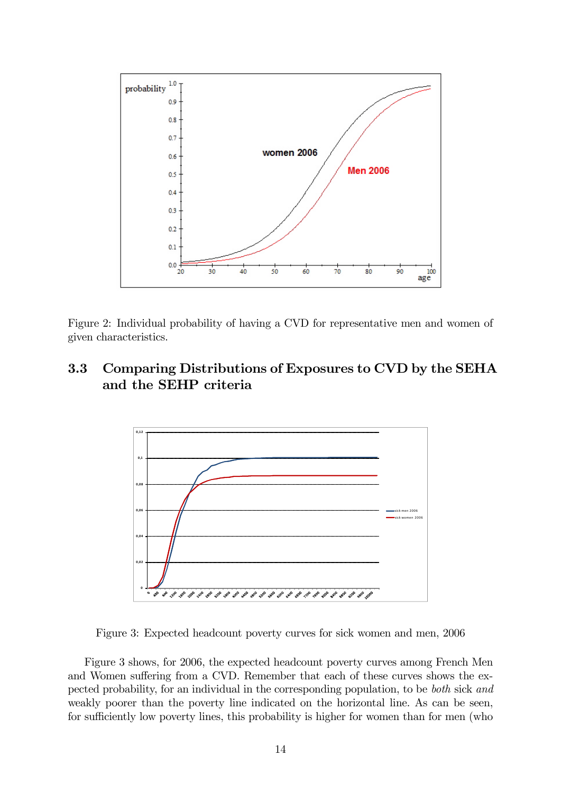

Figure 2: Individual probability of having a CVD for representative men and women of given characteristics.

## 3.3 Comparing Distributions of Exposures to CVD by the SEHA and the SEHP criteria



Figure 3: Expected headcount poverty curves for sick women and men, 2006

Figure 3 shows, for 2006, the expected headcount poverty curves among French Men and Women suffering from a CVD. Remember that each of these curves shows the expected probability, for an individual in the corresponding population, to be both sick and weakly poorer than the poverty line indicated on the horizontal line. As can be seen, for sufficiently low poverty lines, this probability is higher for women than for men (who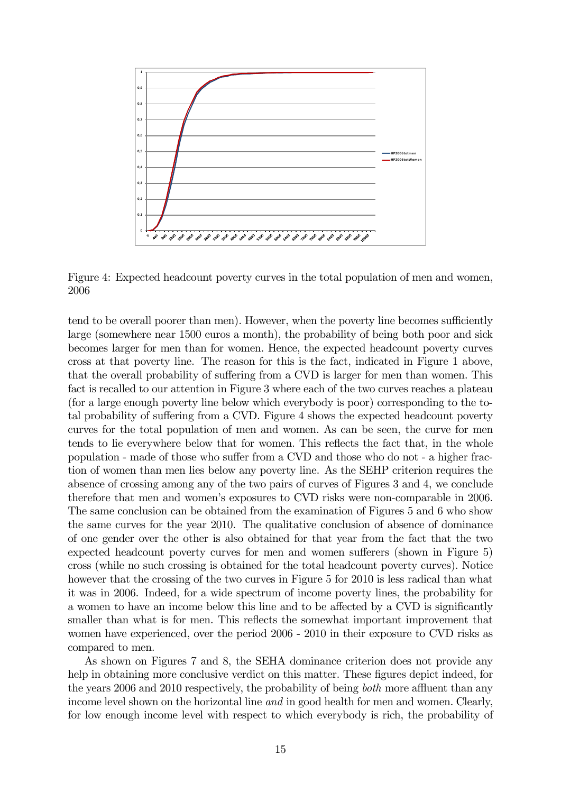

Figure 4: Expected headcount poverty curves in the total population of men and women, 2006

tend to be overall poorer than men). However, when the poverty line becomes sufficiently large (somewhere near 1500 euros a month), the probability of being both poor and sick becomes larger for men than for women. Hence, the expected headcount poverty curves cross at that poverty line. The reason for this is the fact, indicated in Figure 1 above, that the overall probability of suffering from a CVD is larger for men than women. This fact is recalled to our attention in Figure 3 where each of the two curves reaches a plateau (for a large enough poverty line below which everybody is poor) corresponding to the total probability of suffering from a CVD. Figure 4 shows the expected headcount poverty curves for the total population of men and women. As can be seen, the curve for men tends to lie everywhere below that for women. This reflects the fact that, in the whole population - made of those who suffer from a CVD and those who do not - a higher fraction of women than men lies below any poverty line. As the SEHP criterion requires the absence of crossing among any of the two pairs of curves of Figures 3 and 4, we conclude therefore that men and women's exposures to CVD risks were non-comparable in 2006. The same conclusion can be obtained from the examination of Figures 5 and 6 who show the same curves for the year 2010. The qualitative conclusion of absence of dominance of one gender over the other is also obtained for that year from the fact that the two expected headcount poverty curves for men and women sufferers (shown in Figure 5) cross (while no such crossing is obtained for the total headcount poverty curves). Notice however that the crossing of the two curves in Figure 5 for 2010 is less radical than what it was in 2006. Indeed, for a wide spectrum of income poverty lines, the probability for a women to have an income below this line and to be affected by a CVD is significantly smaller than what is for men. This reflects the somewhat important improvement that women have experienced, over the period 2006 - 2010 in their exposure to CVD risks as compared to men.

As shown on Figures 7 and 8, the SEHA dominance criterion does not provide any help in obtaining more conclusive verdict on this matter. These figures depict indeed, for the years 2006 and 2010 respectively, the probability of being both more affluent than any income level shown on the horizontal line *and* in good health for men and women. Clearly, for low enough income level with respect to which everybody is rich, the probability of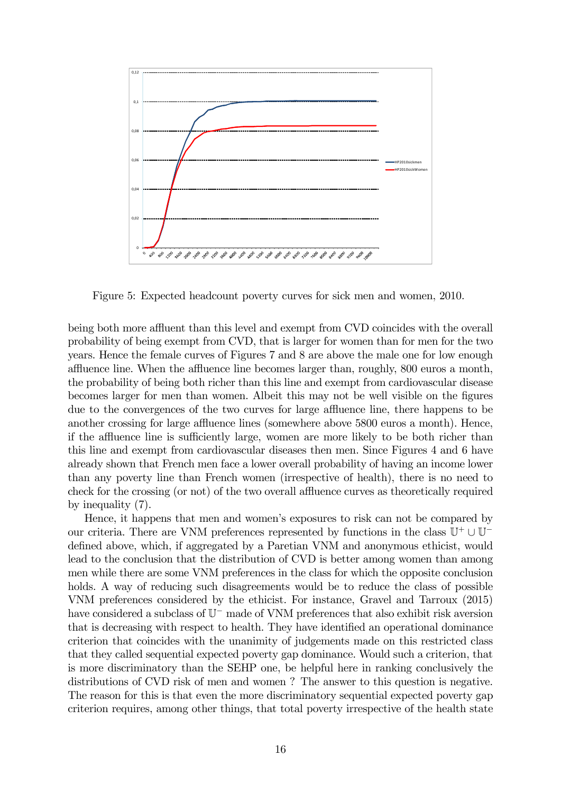

Figure 5: Expected headcount poverty curves for sick men and women, 2010.

being both more affluent than this level and exempt from CVD coincides with the overall probability of being exempt from CVD, that is larger for women than for men for the two years. Hence the female curves of Figures 7 and 8 are above the male one for low enough affluence line. When the affluence line becomes larger than, roughly, 800 euros a month, the probability of being both richer than this line and exempt from cardiovascular disease becomes larger for men than women. Albeit this may not be well visible on the figures due to the convergences of the two curves for large affluence line, there happens to be another crossing for large affluence lines (somewhere above 5800 euros a month). Hence, if the affluence line is sufficiently large, women are more likely to be both richer than this line and exempt from cardiovascular diseases then men. Since Figures 4 and 6 have already shown that French men face a lower overall probability of having an income lower than any poverty line than French women (irrespective of health), there is no need to check for the crossing (or not) of the two overall affluence curves as theoretically required by inequality (7).

Hence, it happens that men and women's exposures to risk can not be compared by our criteria. There are VNM preferences represented by functions in the class  $\mathbb{U}^+ \cup \mathbb{U}^$ defined above, which, if aggregated by a Paretian VNM and anonymous ethicist, would lead to the conclusion that the distribution of CVD is better among women than among men while there are some VNM preferences in the class for which the opposite conclusion holds. A way of reducing such disagreements would be to reduce the class of possible VNM preferences considered by the ethicist. For instance, Gravel and Tarroux (2015) have considered a subclass of U<sup>−</sup> made of VNM preferences that also exhibit risk aversion that is decreasing with respect to health. They have identified an operational dominance criterion that coincides with the unanimity of judgements made on this restricted class that they called sequential expected poverty gap dominance. Would such a criterion, that is more discriminatory than the SEHP one, be helpful here in ranking conclusively the distributions of CVD risk of men and women ? The answer to this question is negative. The reason for this is that even the more discriminatory sequential expected poverty gap criterion requires, among other things, that total poverty irrespective of the health state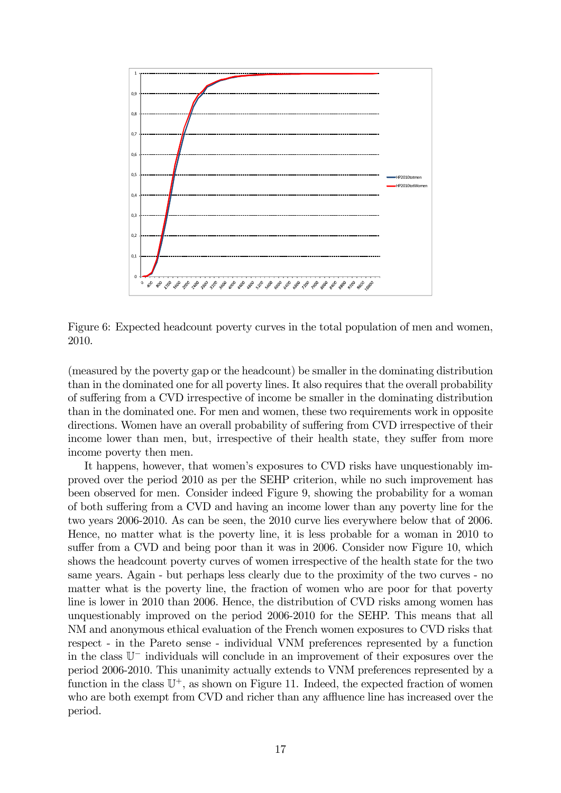

Figure 6: Expected headcount poverty curves in the total population of men and women, 2010.

(measured by the poverty gap or the headcount) be smaller in the dominating distribution than in the dominated one for all poverty lines. It also requires that the overall probability of suffering from a CVD irrespective of income be smaller in the dominating distribution than in the dominated one. For men and women, these two requirements work in opposite directions. Women have an overall probability of suffering from CVD irrespective of their income lower than men, but, irrespective of their health state, they suffer from more income poverty then men.

It happens, however, that women's exposures to CVD risks have unquestionably improved over the period 2010 as per the SEHP criterion, while no such improvement has been observed for men. Consider indeed Figure 9, showing the probability for a woman of both suffering from a CVD and having an income lower than any poverty line for the two years 2006-2010. As can be seen, the 2010 curve lies everywhere below that of 2006. Hence, no matter what is the poverty line, it is less probable for a woman in 2010 to suffer from a CVD and being poor than it was in 2006. Consider now Figure 10, which shows the headcount poverty curves of women irrespective of the health state for the two same years. Again - but perhaps less clearly due to the proximity of the two curves - no matter what is the poverty line, the fraction of women who are poor for that poverty line is lower in 2010 than 2006. Hence, the distribution of CVD risks among women has unquestionably improved on the period 2006-2010 for the SEHP. This means that all NM and anonymous ethical evaluation of the French women exposures to CVD risks that respect - in the Pareto sense - individual VNM preferences represented by a function in the class U<sup>−</sup> individuals will conclude in an improvement of their exposures over the period 2006-2010. This unanimity actually extends to VNM preferences represented by a function in the class  $\mathbb{U}^+$ , as shown on Figure 11. Indeed, the expected fraction of women who are both exempt from CVD and richer than any affluence line has increased over the period.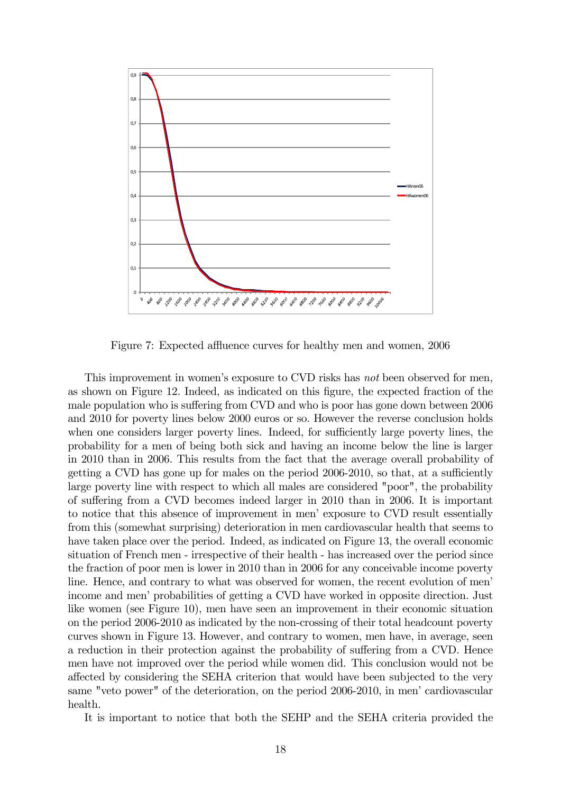

Figure 7: Expected affluence curves for healthy men and women, 2006

This improvement in women's exposure to CVD risks has not been observed for men, as shown on Figure 12. Indeed, as indicated on this figure, the expected fraction of the male population who is suffering from CVD and who is poor has gone down between 2006 and 2010 for poverty lines below 2000 euros or so. However the reverse conclusion holds when one considers larger poverty lines. Indeed, for sufficiently large poverty lines, the probability for a men of being both sick and having an income below the line is larger in 2010 than in 2006. This results from the fact that the average overall probability of getting a CVD has gone up for males on the period 2006-2010, so that, at a sufficiently large poverty line with respect to which all males are considered "poor", the probability of suffering from a CVD becomes indeed larger in 2010 than in 2006. It is important to notice that this absence of improvement in men' exposure to CVD result essentially from this (somewhat surprising) deterioration in men cardiovascular health that seems to have taken place over the period. Indeed, as indicated on Figure 13, the overall economic situation of French men - irrespective of their health - has increased over the period since the fraction of poor men is lower in 2010 than in 2006 for any conceivable income poverty line. Hence, and contrary to what was observed for women, the recent evolution of men' income and men' probabilities of getting a CVD have worked in opposite direction. Just like women (see Figure 10), men have seen an improvement in their economic situation on the period 2006-2010 as indicated by the non-crossing of their total headcount poverty curves shown in Figure 13. However, and contrary to women, men have, in average, seen a reduction in their protection against the probability of suffering from a CVD. Hence men have not improved over the period while women did. This conclusion would not be affected by considering the SEHA criterion that would have been subjected to the very same "veto power" of the deterioration, on the period 2006-2010, in men' cardiovascular health.

It is important to notice that both the SEHP and the SEHA criteria provided the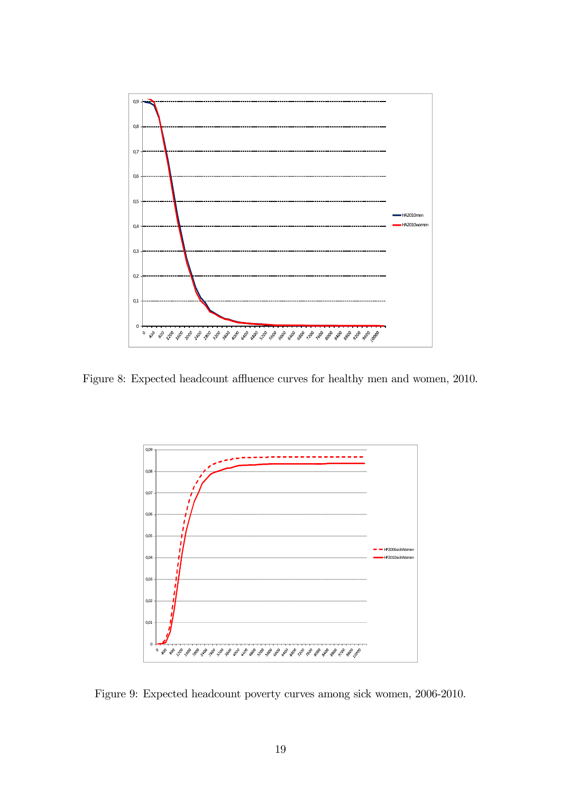

Figure 8: Expected headcount affluence curves for healthy men and women, 2010.



Figure 9: Expected headcount poverty curves among sick women, 2006-2010.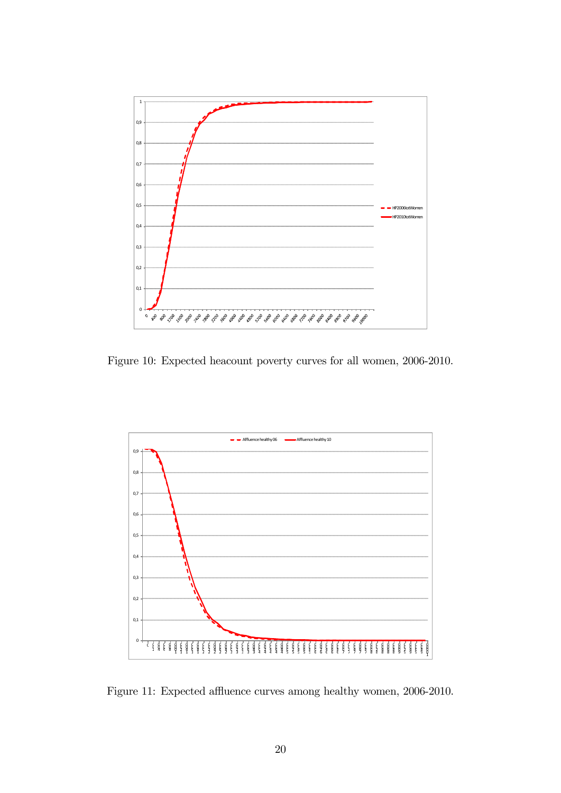

Figure 10: Expected heacount poverty curves for all women, 2006-2010.



Figure 11: Expected affluence curves among healthy women, 2006-2010.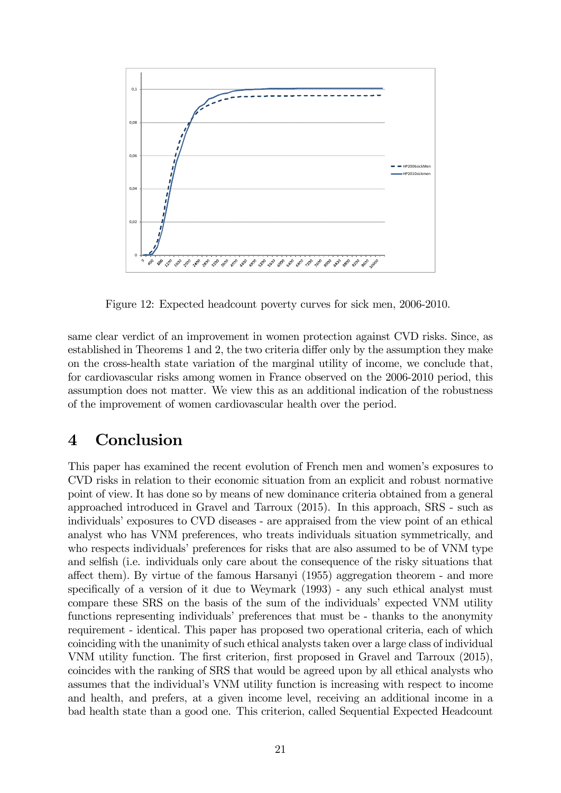

Figure 12: Expected headcount poverty curves for sick men, 2006-2010.

same clear verdict of an improvement in women protection against CVD risks. Since, as established in Theorems 1 and 2, the two criteria differ only by the assumption they make on the cross-health state variation of the marginal utility of income, we conclude that, for cardiovascular risks among women in France observed on the 2006-2010 period, this assumption does not matter. We view this as an additional indication of the robustness of the improvement of women cardiovascular health over the period.

## 4 Conclusion

This paper has examined the recent evolution of French men and women's exposures to CVD risks in relation to their economic situation from an explicit and robust normative point of view. It has done so by means of new dominance criteria obtained from a general approached introduced in Gravel and Tarroux (2015). In this approach, SRS - such as individuals' exposures to CVD diseases - are appraised from the view point of an ethical analyst who has VNM preferences, who treats individuals situation symmetrically, and who respects individuals' preferences for risks that are also assumed to be of VNM type and selfish (i.e. individuals only care about the consequence of the risky situations that affect them). By virtue of the famous Harsanyi (1955) aggregation theorem - and more specifically of a version of it due to Weymark (1993) - any such ethical analyst must compare these SRS on the basis of the sum of the individuals' expected VNM utility functions representing individuals' preferences that must be - thanks to the anonymity requirement - identical. This paper has proposed two operational criteria, each of which coinciding with the unanimity of such ethical analysts taken over a large class of individual VNM utility function. The first criterion, first proposed in Gravel and Tarroux (2015), coincides with the ranking of SRS that would be agreed upon by all ethical analysts who assumes that the individual's VNM utility function is increasing with respect to income and health, and prefers, at a given income level, receiving an additional income in a bad health state than a good one. This criterion, called Sequential Expected Headcount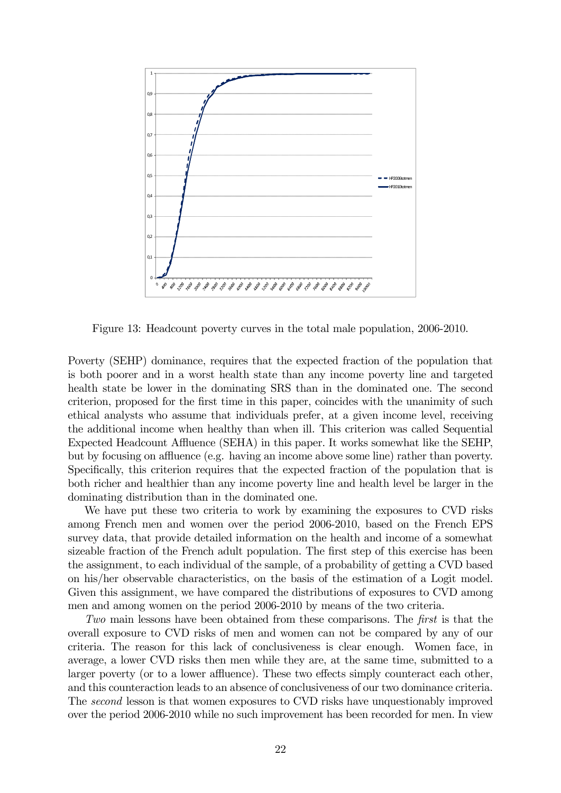

Figure 13: Headcount poverty curves in the total male population, 2006-2010.

Poverty (SEHP) dominance, requires that the expected fraction of the population that is both poorer and in a worst health state than any income poverty line and targeted health state be lower in the dominating SRS than in the dominated one. The second criterion, proposed for the first time in this paper, coincides with the unanimity of such ethical analysts who assume that individuals prefer, at a given income level, receiving the additional income when healthy than when ill. This criterion was called Sequential Expected Headcount Affluence (SEHA) in this paper. It works somewhat like the SEHP, but by focusing on affluence (e.g. having an income above some line) rather than poverty. Specifically, this criterion requires that the expected fraction of the population that is both richer and healthier than any income poverty line and health level be larger in the dominating distribution than in the dominated one.

We have put these two criteria to work by examining the exposures to CVD risks among French men and women over the period 2006-2010, based on the French EPS survey data, that provide detailed information on the health and income of a somewhat sizeable fraction of the French adult population. The first step of this exercise has been the assignment, to each individual of the sample, of a probability of getting a CVD based on his/her observable characteristics, on the basis of the estimation of a Logit model. Given this assignment, we have compared the distributions of exposures to CVD among men and among women on the period 2006-2010 by means of the two criteria.

Two main lessons have been obtained from these comparisons. The first is that the overall exposure to CVD risks of men and women can not be compared by any of our criteria. The reason for this lack of conclusiveness is clear enough. Women face, in average, a lower CVD risks then men while they are, at the same time, submitted to a larger poverty (or to a lower affluence). These two effects simply counteract each other, and this counteraction leads to an absence of conclusiveness of our two dominance criteria. The second lesson is that women exposures to CVD risks have unquestionably improved over the period 2006-2010 while no such improvement has been recorded for men. In view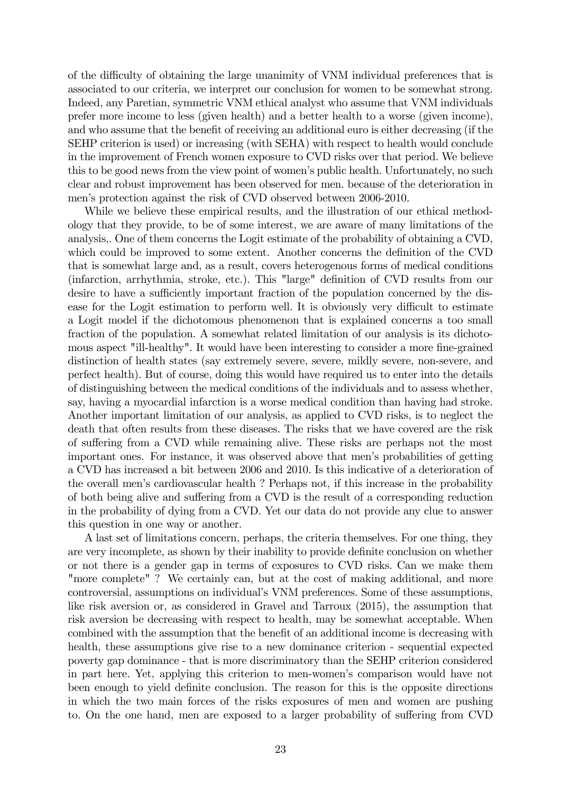of the difficulty of obtaining the large unanimity of VNM individual preferences that is associated to our criteria, we interpret our conclusion for women to be somewhat strong. Indeed, any Paretian, symmetric VNM ethical analyst who assume that VNM individuals prefer more income to less (given health) and a better health to a worse (given income), and who assume that the benefit of receiving an additional euro is either decreasing (if the SEHP criterion is used) or increasing (with SEHA) with respect to health would conclude in the improvement of French women exposure to CVD risks over that period. We believe this to be good news from the view point of women's public health. Unfortunately, no such clear and robust improvement has been observed for men. because of the deterioration in men's protection against the risk of CVD observed between 2006-2010.

While we believe these empirical results, and the illustration of our ethical methodology that they provide, to be of some interest, we are aware of many limitations of the analysis,. One of them concerns the Logit estimate of the probability of obtaining a CVD, which could be improved to some extent. Another concerns the definition of the CVD that is somewhat large and, as a result, covers heterogenous forms of medical conditions (infarction, arrhythmia, stroke, etc.). This "large" definition of CVD results from our desire to have a sufficiently important fraction of the population concerned by the disease for the Logit estimation to perform well. It is obviously very difficult to estimate a Logit model if the dichotomous phenomenon that is explained concerns a too small fraction of the population. A somewhat related limitation of our analysis is its dichotomous aspect "ill-healthy". It would have been interesting to consider a more fine-grained distinction of health states (say extremely severe, severe, mildly severe, non-severe, and perfect health). But of course, doing this would have required us to enter into the details of distinguishing between the medical conditions of the individuals and to assess whether, say, having a myocardial infarction is a worse medical condition than having had stroke. Another important limitation of our analysis, as applied to CVD risks, is to neglect the death that often results from these diseases. The risks that we have covered are the risk of suffering from a CVD while remaining alive. These risks are perhaps not the most important ones. For instance, it was observed above that men's probabilities of getting a CVD has increased a bit between 2006 and 2010. Is this indicative of a deterioration of the overall men's cardiovascular health ? Perhaps not, if this increase in the probability of both being alive and suffering from a CVD is the result of a corresponding reduction in the probability of dying from a CVD. Yet our data do not provide any clue to answer this question in one way or another.

A last set of limitations concern, perhaps, the criteria themselves. For one thing, they are very incomplete, as shown by their inability to provide definite conclusion on whether or not there is a gender gap in terms of exposures to CVD risks. Can we make them "more complete"? We certainly can, but at the cost of making additional, and more controversial, assumptions on individual's VNM preferences. Some of these assumptions, like risk aversion or, as considered in Gravel and Tarroux (2015), the assumption that risk aversion be decreasing with respect to health, may be somewhat acceptable. When combined with the assumption that the benefit of an additional income is decreasing with health, these assumptions give rise to a new dominance criterion - sequential expected poverty gap dominance - that is more discriminatory than the SEHP criterion considered in part here. Yet, applying this criterion to men-women's comparison would have not been enough to yield definite conclusion. The reason for this is the opposite directions in which the two main forces of the risks exposures of men and women are pushing to. On the one hand, men are exposed to a larger probability of suffering from CVD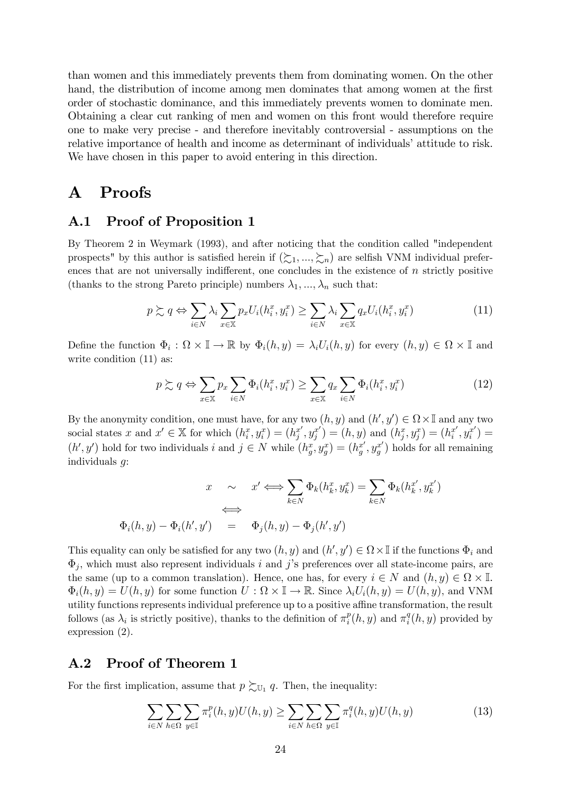than women and this immediately prevents them from dominating women. On the other hand, the distribution of income among men dominates that among women at the first order of stochastic dominance, and this immediately prevents women to dominate men. Obtaining a clear cut ranking of men and women on this front would therefore require one to make very precise - and therefore inevitably controversial - assumptions on the relative importance of health and income as determinant of individuals' attitude to risk. We have chosen in this paper to avoid entering in this direction.

### A Proofs

#### A.1 Proof of Proposition 1

By Theorem 2 in Weymark (1993), and after noticing that the condition called "independent prospects" by this author is satisfied herein if  $(\succsim_1, ..., \succsim_n)$  are selfish VNM individual preferences that are not universally indifferent, one concludes in the existence of  $n$  strictly positive (thanks to the strong Pareto principle) numbers  $\lambda_1, ..., \lambda_n$  such that:

$$
p \succsim q \Leftrightarrow \sum_{i \in N} \lambda_i \sum_{x \in \mathbb{X}} p_x U_i(h_i^x, y_i^x) \ge \sum_{i \in N} \lambda_i \sum_{x \in \mathbb{X}} q_x U_i(h_i^x, y_i^x) \tag{11}
$$

Define the function  $\Phi_i : \Omega \times \mathbb{I} \to \mathbb{R}$  by  $\Phi_i(h, y) = \lambda_i U_i(h, y)$  for every  $(h, y) \in \Omega \times \mathbb{I}$  and write condition  $(11)$  as:

$$
p \succsim q \Leftrightarrow \sum_{x \in \mathbb{X}} p_x \sum_{i \in N} \Phi_i(h_i^x, y_i^x) \ge \sum_{x \in \mathbb{X}} q_x \sum_{i \in N} \Phi_i(h_i^x, y_i^x) \tag{12}
$$

By the anonymity condition, one must have, for any two  $(h, y)$  and  $(h', y') \in \Omega \times \mathbb{I}$  and any two social states x and  $x' \in \mathbb{X}$  for which  $(h_i^x, y_i^x) = (h_j^{x'}, y_j^{x'}) = (h, y)$  and  $(h_j^x, y_j^x) = (h_i^{x'}, y_i^{x'}) =$  $(h', y')$  hold for two individuals  $i$  and  $j \in N$  while  $(h_g^x, y_g^x) = (h_g^{x'}, y_g^{x'})$  holds for all remaining individuals  $q$ :

$$
x \sim x' \iff \sum_{k \in N} \Phi_k(h_k^x, y_k^x) = \sum_{k \in N} \Phi_k(h_k^{x'}, y_k^{x'})
$$
  

$$
\iff \Phi_i(h, y) - \Phi_i(h', y') = \Phi_j(h, y) - \Phi_j(h', y')
$$

This equality can only be satisfied for any two  $(h, y)$  and  $(h', y') \in \Omega \times \mathbb{I}$  if the functions  $\Phi_i$  and  $\Phi_i$ , which must also represent individuals *i* and *j*'s preferences over all state-income pairs, are the same (up to a common translation). Hence, one has, for every  $i \in N$  and  $(h, y) \in \Omega \times \mathbb{I}$ .  $\Phi_i(h, y) = U(h, y)$  for some function  $U : \Omega \times \mathbb{I} \to \mathbb{R}$ . Since  $\lambda_i U_i(h, y) = U(h, y)$ , and VNM utility functions represents individual preference up to a positive affine transformation, the result follows (as  $\lambda_i$  is strictly positive), thanks to the definition of  $\pi_i^p(h, y)$  and  $\pi_i^q(h, y)$  provided by expression (2).

#### A.2 Proof of Theorem 1

For the first implication, assume that  $p \succsim_{U_1} q$ . Then, the inequality:

$$
\sum_{i \in N} \sum_{h \in \Omega} \sum_{y \in \mathbb{I}} \pi_i^p(h, y) U(h, y) \ge \sum_{i \in N} \sum_{h \in \Omega} \sum_{y \in \mathbb{I}} \pi_i^q(h, y) U(h, y) \tag{13}
$$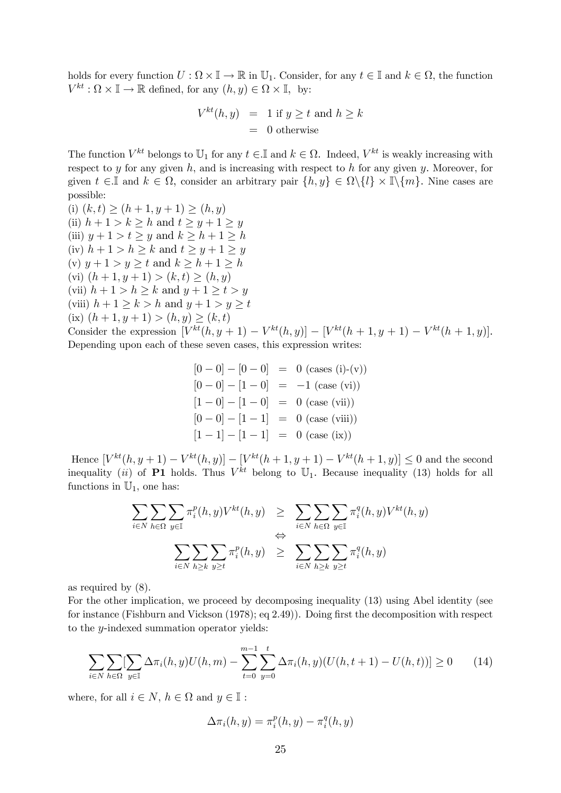holds for every function  $U : \Omega \times \mathbb{I} \to \mathbb{R}$  in  $\mathbb{U}_1$ . Consider, for any  $t \in \mathbb{I}$  and  $k \in \Omega$ , the function  $V^{kt}: \Omega \times \mathbb{I} \to \mathbb{R}$  defined, for any  $(h, y) \in \Omega \times \mathbb{I}$ , by:

$$
V^{kt}(h, y) = 1 \text{ if } y \ge t \text{ and } h \ge k
$$
  
= 0 otherwise

The function  $V^{kt}$  belongs to  $\mathbb{U}_1$  for any  $t \in \mathbb{I}$  and  $k \in \Omega$ . Indeed,  $V^{kt}$  is weakly increasing with respect to  $y$  for any given  $h$ , and is increasing with respect to  $h$  for any given  $y$ . Moreover, for given  $t \in \mathbb{I}$  and  $k \in \Omega$ , consider an arbitrary pair  $\{h, y\} \in \Omega \setminus \{l\} \times \mathbb{I} \setminus \{m\}$ . Nine cases are possible:

(i)  $(k, t) \ge (h + 1, y + 1) \ge (h, y)$ (ii)  $h + 1 > k > h$  and  $t > y + 1 > y$ (iii)  $y+1 > t \geq y$  and  $k \geq h+1 \geq h$ (iv)  $h+1 > h \geq k$  and  $t \geq y+1 \geq y$ (v)  $y+1 > y \geq t$  and  $k \geq h+1 \geq h$ (vi)  $(h + 1, y + 1) > (k, t) > (h, y)$ (vii)  $h+1 > h \ge k$  and  $y+1 \ge t > y$ (viii)  $h+1 \geq k > h$  and  $y+1 \geq y \geq t$ (ix)  $(h+1, y+1) > (h, y) \ge (k, t)$ Consider the expression  $[V^{kt}(h, y + 1) - V^{kt}(h, y)] - [V^{kt}(h + 1, y + 1) - V^{kt}(h + 1, y)].$ Depending upon each of these seven cases, this expression writes:

$$
[0 - 0] - [0 - 0] = 0 \text{ (cases (i)-(v))}
$$

$$
[0 - 0] - [1 - 0] = -1 \text{ (case (vi))}
$$

$$
[1 - 0] - [1 - 0] = 0 \text{ (case (vii))}
$$

$$
[0 - 0] - [1 - 1] = 0 \text{ (case (viii))}
$$

$$
[1 - 1] - [1 - 1] = 0 \text{ (case (ix))}
$$

Hence  $[V^{kt}(h, y+1) - V^{kt}(h, y)] - [V^{kt}(h+1, y+1) - V^{kt}(h+1, y)] \leq 0$  and the second inequality (ii) of P1 holds. Thus  $V^{kt}$  belong to  $\mathbb{U}_1$ . Because inequality (13) holds for all functions in  $\mathbb{U}_1$ , one has:

$$
\sum_{i \in N} \sum_{h \in \Omega} \sum_{y \in \mathbb{I}} \pi_i^p(h, y) V^{kt}(h, y) \ge \sum_{i \in N} \sum_{h \in \Omega} \sum_{y \in \mathbb{I}} \pi_i^q(h, y) V^{kt}(h, y)
$$
  

$$
\Leftrightarrow \sum_{i \in N} \sum_{h \ge k} \sum_{y \ge t} \pi_i^p(h, y) \ge \sum_{i \in N} \sum_{h \ge k} \sum_{y \ge t} \pi_i^q(h, y)
$$

as required by (8).

For the other implication, we proceed by decomposing inequality (13) using Abel identity (see for instance (Fishburn and Vickson (1978); eq 2.49)). Doing first the decomposition with respect to the  $y$ -indexed summation operator yields:

$$
\sum_{i \in N} \sum_{h \in \Omega} \sum_{y \in \mathbb{I}} \Delta \pi_i(h, y) U(h, m) - \sum_{t=0}^{m-1} \sum_{y=0}^t \Delta \pi_i(h, y) (U(h, t+1) - U(h, t))] \ge 0 \tag{14}
$$

where, for all  $i \in N$ ,  $h \in \Omega$  and  $u \in \mathbb{I}$ :

$$
\Delta \pi_i(h, y) = \pi_i^p(h, y) - \pi_i^q(h, y)
$$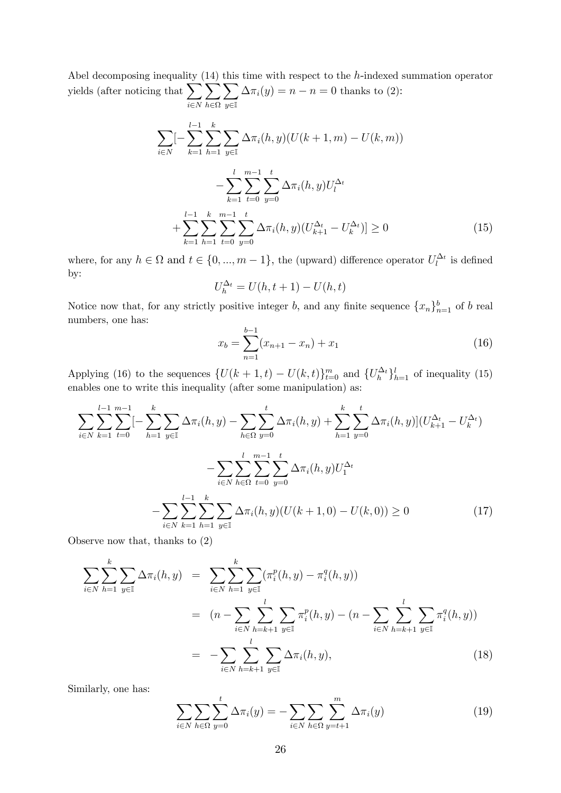Abel decomposing inequality  $(14)$  this time with respect to the h-indexed summation operator yields (after noticing that  $\sum$  $i \in N$  $\overline{\phantom{0}}$  $h \in \Omega$  $\sum$  $y \in \mathbb{I}$  $\Delta \pi_i(y) = n - n = 0$  thanks to (2):

$$
\sum_{i \in N} \left[ -\sum_{k=1}^{l-1} \sum_{h=1}^{k} \sum_{y \in \mathbb{I}} \Delta \pi_i(h, y) (U(k+1, m) - U(k, m)) - \sum_{k=1}^{l} \sum_{t=0}^{m-1} \sum_{y=0}^{t} \Delta \pi_i(h, y) U_l^{\Delta_t} + \sum_{k=1}^{l-1} \sum_{h=1}^{k} \sum_{t=0}^{m-1} \sum_{y=0}^{t} \Delta \pi_i(h, y) (U_{k+1}^{\Delta_t} - U_k^{\Delta_t}) \right] \ge 0
$$
\n(15)

where, for any  $h \in \Omega$  and  $t \in \{0, ..., m-1\}$ , the (upward) difference operator  $U_l^{\Delta_t}$  is defined by:

$$
U_h^{\Delta_t} = U(h, t+1) - U(h, t)
$$

Notice now that, for any strictly positive integer b, and any finite sequence  $\{x_n\}_{n=1}^b$  of b real numbers, one has:

$$
x_b = \sum_{n=1}^{b-1} (x_{n+1} - x_n) + x_1 \tag{16}
$$

Applying (16) to the sequences  $\{U(k+1,t) - U(k,t)\}_{t=0}^m$  and  $\{U_h^{\Delta_t}\}_{h=1}^l$  of inequality (15) enables one to write this inequality (after some manipulation) as:

$$
\sum_{i \in N} \sum_{k=1}^{l-1} \sum_{t=0}^{m-1} [-\sum_{h=1}^{k} \sum_{y \in \mathbb{I}} \Delta \pi_i(h, y) - \sum_{h \in \Omega} \sum_{y=0}^{t} \Delta \pi_i(h, y) + \sum_{h=1}^{k} \sum_{y=0}^{t} \Delta \pi_i(h, y)] (U_{k+1}^{\Delta_t} - U_k^{\Delta_t})
$$

$$
- \sum_{i \in N} \sum_{h=1}^{l} \sum_{y=0}^{m-1} \sum_{y=0}^{t} \Delta \pi_i(h, y) U_1^{\Delta_t}
$$

$$
- \sum_{i \in N} \sum_{k=1}^{l-1} \sum_{h=1}^{k} \sum_{y \in \mathbb{I}} \Delta \pi_i(h, y) (U(k+1, 0) - U(k, 0)) \ge 0
$$
(17)

Observe now that, thanks to (2)

$$
\sum_{i \in N} \sum_{h=1}^{k} \sum_{y \in \mathbb{I}} \Delta \pi_i(h, y) = \sum_{i \in N} \sum_{h=1}^{k} \sum_{y \in \mathbb{I}} (\pi_i^p(h, y) - \pi_i^q(h, y))
$$
  
\n
$$
= (n - \sum_{i \in N} \sum_{h=k+1}^{l} \sum_{y \in \mathbb{I}} \pi_i^p(h, y) - (n - \sum_{i \in N} \sum_{h=k+1}^{l} \sum_{y \in \mathbb{I}} \pi_i^q(h, y))
$$
  
\n
$$
= - \sum_{i \in N} \sum_{h=k+1}^{l} \sum_{y \in \mathbb{I}} \Delta \pi_i(h, y),
$$
\n(18)

Similarly, one has:

$$
\sum_{i \in N} \sum_{h \in \Omega} \sum_{y=0}^{t} \Delta \pi_i(y) = -\sum_{i \in N} \sum_{h \in \Omega} \sum_{y=t+1}^{m} \Delta \pi_i(y) \tag{19}
$$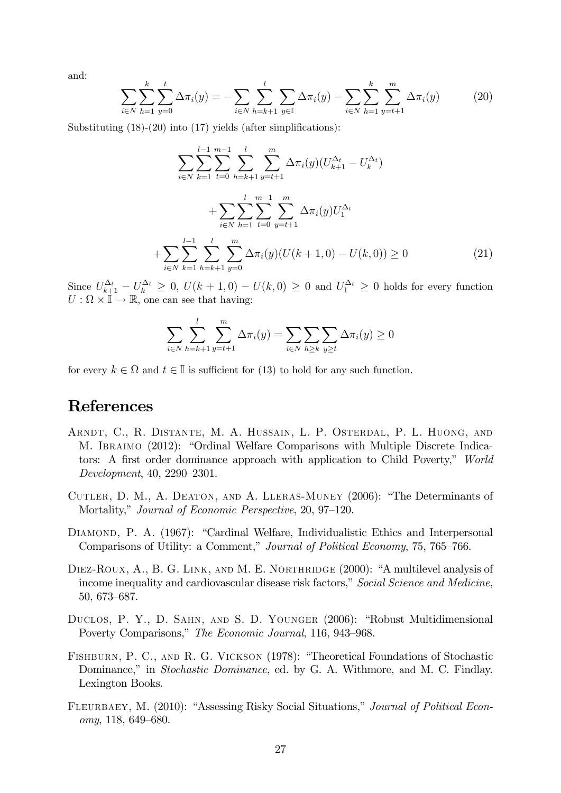and:

$$
\sum_{i \in N} \sum_{h=1}^{k} \sum_{y=0}^{t} \Delta \pi_i(y) = -\sum_{i \in N} \sum_{h=k+1}^{l} \sum_{y \in \mathbb{I}} \Delta \pi_i(y) - \sum_{i \in N} \sum_{h=1}^{k} \sum_{y=t+1}^{m} \Delta \pi_i(y) \tag{20}
$$

Substituting (18)-(20) into (17) yields (after simplifications):

$$
\sum_{i \in N} \sum_{k=1}^{l-1} \sum_{t=0}^{m-1} \sum_{h=k+1}^{l} \sum_{y=t+1}^{m} \Delta \pi_i(y) (U_{k+1}^{\Delta_t} - U_k^{\Delta_t})
$$
  
+ 
$$
\sum_{i \in N} \sum_{h=1}^{l} \sum_{t=0}^{m-1} \sum_{y=t+1}^{m} \Delta \pi_i(y) U_1^{\Delta_t}
$$
  
+ 
$$
\sum_{i \in N} \sum_{k=1}^{l-1} \sum_{h=k+1}^{l} \sum_{y=0}^{m} \Delta \pi_i(y) (U(k+1,0) - U(k,0)) \ge 0
$$
 (21)

Since  $U_{k+1}^{\Delta_t} - U_k^{\Delta_t} \geq 0$ ,  $U(k+1,0) - U(k,0) \geq 0$  and  $U_1^{\Delta_t} \geq 0$  holds for every function  $U: \Omega \times \mathbb{I} \to \mathbb{R}$ , one can see that having:

$$
\sum_{i \in N} \sum_{h=k+1}^{l} \sum_{y=t+1}^{m} \Delta \pi_i(y) = \sum_{i \in N} \sum_{h \ge k} \sum_{y \ge t} \Delta \pi_i(y) \ge 0
$$

for every  $k \in \Omega$  and  $t \in \mathbb{I}$  is sufficient for (13) to hold for any such function.

## References

- Arndt, C., R. Distante, M. A. Hussain, L. P. Osterdal, P. L. Huong, and M. Ibraimo (2012): "Ordinal Welfare Comparisons with Multiple Discrete Indicators: A first order dominance approach with application to Child Poverty," World Development, 40, 2290—2301.
- Cutler, D. M., A. Deaton, and A. Lleras-Muney (2006): "The Determinants of Mortality," Journal of Economic Perspective, 20, 97—120.
- DIAMOND, P. A. (1967): "Cardinal Welfare, Individualistic Ethics and Interpersonal Comparisons of Utility: a Comment," Journal of Political Economy, 75, 765—766.
- DIEZ-ROUX, A., B. G. LINK, AND M. E. NORTHRIDGE (2000): "A multilevel analysis of income inequality and cardiovascular disease risk factors," Social Science and Medicine, 50, 673—687.
- Duclos, P. Y., D. Sahn, and S. D. Younger (2006): "Robust Multidimensional Poverty Comparisons," The Economic Journal, 116, 943—968.
- Fishburn, P. C., and R. G. Vickson (1978): "Theoretical Foundations of Stochastic Dominance," in Stochastic Dominance, ed. by G. A. Withmore, and M. C. Findlay. Lexington Books.
- FLEURBAEY, M. (2010): "Assessing Risky Social Situations," Journal of Political Economy, 118, 649—680.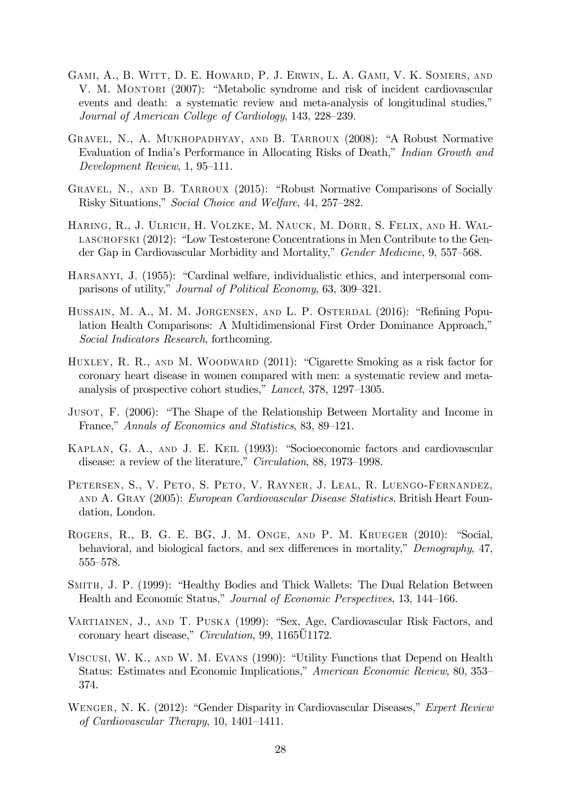- Gami, A., B. Witt, D. E. Howard, P. J. Erwin, L. A. Gami, V. K. Somers, and V. M. MONTORI (2007): "Metabolic syndrome and risk of incident cardiovascular events and death: a systematic review and meta-analysis of longitudinal studies," Journal of American College of Cardiology, 143, 228—239.
- Gravel, N., A. Mukhopadhyay, and B. Tarroux (2008): "A Robust Normative Evaluation of India's Performance in Allocating Risks of Death," Indian Growth and Development Review, 1, 95—111.
- GRAVEL, N., AND B. TARROUX (2015): "Robust Normative Comparisons of Socially Risky Situations," Social Choice and Welfare, 44, 257—282.
- Haring, R., J. Ulrich, H. Volzke, M. Nauck, M. Dorr, S. Felix, and H. Wal-LASCHOFSKI (2012): "Low Testosterone Concentrations in Men Contribute to the Gender Gap in Cardiovascular Morbidity and Mortality," Gender Medicine, 9, 557—568.
- Harsanyi, J. (1955): "Cardinal welfare, individualistic ethics, and interpersonal comparisons of utility," Journal of Political Economy, 63, 309—321.
- Hussain, M. A., M. M. Jorgensen, and L. P. Osterdal (2016): "Refining Population Health Comparisons: A Multidimensional First Order Dominance Approach," Social Indicators Research, forthcoming.
- HUXLEY, R. R., AND M. WOODWARD (2011): "Cigarette Smoking as a risk factor for coronary heart disease in women compared with men: a systematic review and metaanalysis of prospective cohort studies," Lancet, 378, 1297—1305.
- Jusot, F. (2006): "The Shape of the Relationship Between Mortality and Income in France," Annals of Economics and Statistics, 83, 89—121.
- Kaplan, G. A., and J. E. Keil (1993): "Socioeconomic factors and cardiovascular disease: a review of the literature," Circulation, 88, 1973—1998.
- PETERSEN, S., V. PETO, S. PETO, V. RAYNER, J. LEAL, R. LUENGO-FERNANDEZ, and A. Gray (2005): European Cardiovascular Disease Statistics. British Heart Foundation, London.
- Rogers, R., B. G. E. BG, J. M. Onge, and P. M. Krueger (2010): "Social, behavioral, and biological factors, and sex differences in mortality," Demography, 47, 555—578.
- Smith, J. P. (1999): "Healthy Bodies and Thick Wallets: The Dual Relation Between Health and Economic Status," Journal of Economic Perspectives, 13, 144—166.
- Vartiainen, J., and T. Puska (1999): "Sex, Age, Cardiovascular Risk Factors, and coronary heart disease," *Circulation*, 99, 1165 $\tilde{U}$ 1172.
- Viscusi, W. K., and W. M. Evans (1990): "Utility Functions that Depend on Health Status: Estimates and Economic Implications," American Economic Review, 80, 353— 374.
- WENGER, N. K. (2012): "Gender Disparity in Cardiovascular Diseases," Expert Review of Cardiovascular Therapy, 10, 1401—1411.